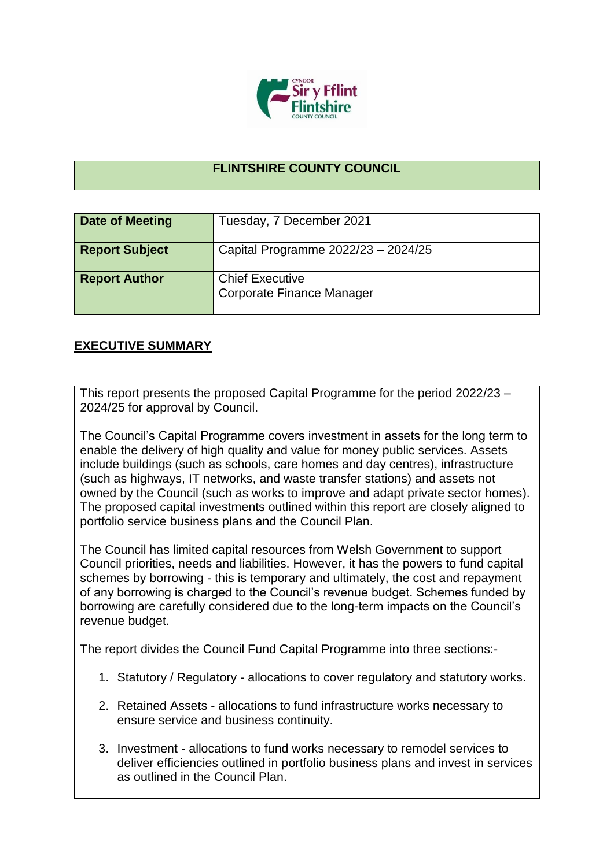

## **FLINTSHIRE COUNTY COUNCIL**

| <b>Date of Meeting</b> | Tuesday, 7 December 2021                            |
|------------------------|-----------------------------------------------------|
| <b>Report Subject</b>  | Capital Programme 2022/23 - 2024/25                 |
| <b>Report Author</b>   | <b>Chief Executive</b><br>Corporate Finance Manager |

## **EXECUTIVE SUMMARY**

This report presents the proposed Capital Programme for the period 2022/23 – 2024/25 for approval by Council.

The Council's Capital Programme covers investment in assets for the long term to enable the delivery of high quality and value for money public services. Assets include buildings (such as schools, care homes and day centres), infrastructure (such as highways, IT networks, and waste transfer stations) and assets not owned by the Council (such as works to improve and adapt private sector homes). The proposed capital investments outlined within this report are closely aligned to portfolio service business plans and the Council Plan.

The Council has limited capital resources from Welsh Government to support Council priorities, needs and liabilities. However, it has the powers to fund capital schemes by borrowing - this is temporary and ultimately, the cost and repayment of any borrowing is charged to the Council's revenue budget. Schemes funded by borrowing are carefully considered due to the long-term impacts on the Council's revenue budget.

The report divides the Council Fund Capital Programme into three sections:-

- 1. Statutory / Regulatory allocations to cover regulatory and statutory works.
- 2. Retained Assets allocations to fund infrastructure works necessary to ensure service and business continuity.
- 3. Investment allocations to fund works necessary to remodel services to deliver efficiencies outlined in portfolio business plans and invest in services as outlined in the Council Plan.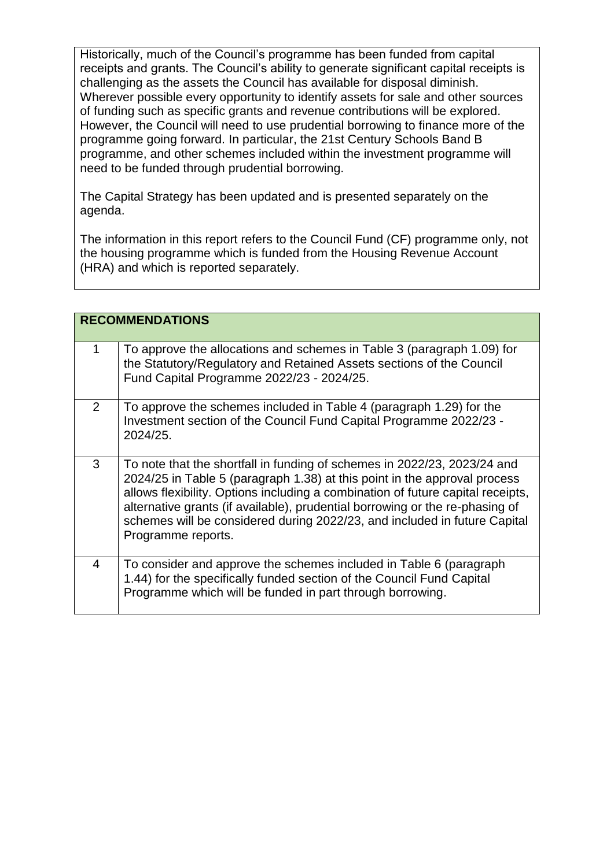Historically, much of the Council's programme has been funded from capital receipts and grants. The Council's ability to generate significant capital receipts is challenging as the assets the Council has available for disposal diminish. Wherever possible every opportunity to identify assets for sale and other sources of funding such as specific grants and revenue contributions will be explored. However, the Council will need to use prudential borrowing to finance more of the programme going forward. In particular, the 21st Century Schools Band B programme, and other schemes included within the investment programme will need to be funded through prudential borrowing.

The Capital Strategy has been updated and is presented separately on the agenda.

The information in this report refers to the Council Fund (CF) programme only, not the housing programme which is funded from the Housing Revenue Account (HRA) and which is reported separately.

|   | <b>RECOMMENDATIONS</b>                                                                                                                                                                                                                                                                                                                                                                                                      |
|---|-----------------------------------------------------------------------------------------------------------------------------------------------------------------------------------------------------------------------------------------------------------------------------------------------------------------------------------------------------------------------------------------------------------------------------|
| 1 | To approve the allocations and schemes in Table 3 (paragraph 1.09) for<br>the Statutory/Regulatory and Retained Assets sections of the Council<br>Fund Capital Programme 2022/23 - 2024/25.                                                                                                                                                                                                                                 |
| 2 | To approve the schemes included in Table 4 (paragraph 1.29) for the<br>Investment section of the Council Fund Capital Programme 2022/23 -<br>2024/25.                                                                                                                                                                                                                                                                       |
| 3 | To note that the shortfall in funding of schemes in 2022/23, 2023/24 and<br>2024/25 in Table 5 (paragraph 1.38) at this point in the approval process<br>allows flexibility. Options including a combination of future capital receipts,<br>alternative grants (if available), prudential borrowing or the re-phasing of<br>schemes will be considered during 2022/23, and included in future Capital<br>Programme reports. |
| 4 | To consider and approve the schemes included in Table 6 (paragraph)<br>1.44) for the specifically funded section of the Council Fund Capital<br>Programme which will be funded in part through borrowing.                                                                                                                                                                                                                   |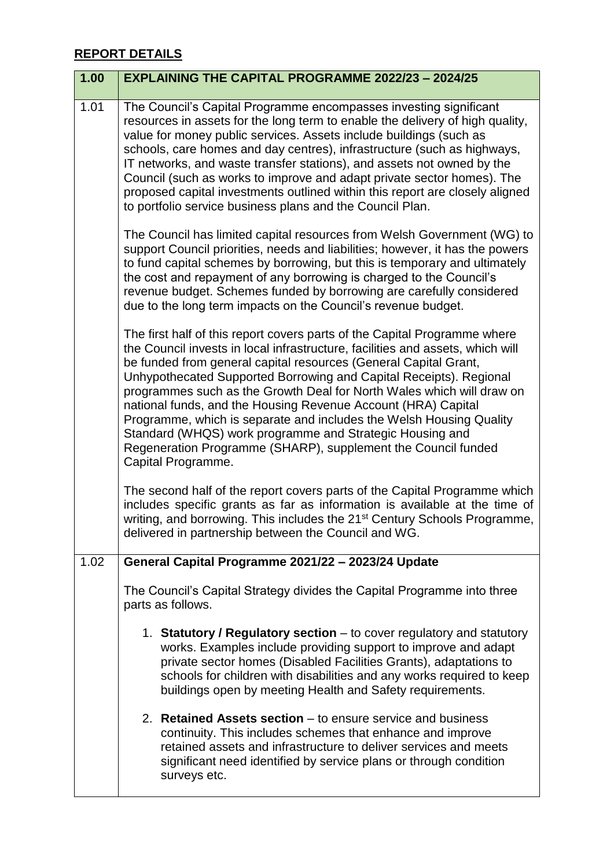## **REPORT DETAILS**

| 1.00 | <b>EXPLAINING THE CAPITAL PROGRAMME 2022/23 - 2024/25</b>                                                                                                                                                                                                                                                                                                                                                                                                                                                                                                                                                                                                                 |
|------|---------------------------------------------------------------------------------------------------------------------------------------------------------------------------------------------------------------------------------------------------------------------------------------------------------------------------------------------------------------------------------------------------------------------------------------------------------------------------------------------------------------------------------------------------------------------------------------------------------------------------------------------------------------------------|
| 1.01 | The Council's Capital Programme encompasses investing significant<br>resources in assets for the long term to enable the delivery of high quality,<br>value for money public services. Assets include buildings (such as<br>schools, care homes and day centres), infrastructure (such as highways,<br>IT networks, and waste transfer stations), and assets not owned by the<br>Council (such as works to improve and adapt private sector homes). The<br>proposed capital investments outlined within this report are closely aligned<br>to portfolio service business plans and the Council Plan.                                                                      |
|      | The Council has limited capital resources from Welsh Government (WG) to<br>support Council priorities, needs and liabilities; however, it has the powers<br>to fund capital schemes by borrowing, but this is temporary and ultimately<br>the cost and repayment of any borrowing is charged to the Council's<br>revenue budget. Schemes funded by borrowing are carefully considered<br>due to the long term impacts on the Council's revenue budget.                                                                                                                                                                                                                    |
|      | The first half of this report covers parts of the Capital Programme where<br>the Council invests in local infrastructure, facilities and assets, which will<br>be funded from general capital resources (General Capital Grant,<br>Unhypothecated Supported Borrowing and Capital Receipts). Regional<br>programmes such as the Growth Deal for North Wales which will draw on<br>national funds, and the Housing Revenue Account (HRA) Capital<br>Programme, which is separate and includes the Welsh Housing Quality<br>Standard (WHQS) work programme and Strategic Housing and<br>Regeneration Programme (SHARP), supplement the Council funded<br>Capital Programme. |
|      | The second half of the report covers parts of the Capital Programme which<br>includes specific grants as far as information is available at the time of<br>writing, and borrowing. This includes the 21 <sup>st</sup> Century Schools Programme,<br>delivered in partnership between the Council and WG.                                                                                                                                                                                                                                                                                                                                                                  |
| 1.02 | General Capital Programme 2021/22 - 2023/24 Update                                                                                                                                                                                                                                                                                                                                                                                                                                                                                                                                                                                                                        |
|      | The Council's Capital Strategy divides the Capital Programme into three<br>parts as follows.                                                                                                                                                                                                                                                                                                                                                                                                                                                                                                                                                                              |
|      | 1. Statutory / Regulatory section - to cover regulatory and statutory<br>works. Examples include providing support to improve and adapt<br>private sector homes (Disabled Facilities Grants), adaptations to<br>schools for children with disabilities and any works required to keep<br>buildings open by meeting Health and Safety requirements.                                                                                                                                                                                                                                                                                                                        |
|      | 2. Retained Assets section – to ensure service and business<br>continuity. This includes schemes that enhance and improve<br>retained assets and infrastructure to deliver services and meets<br>significant need identified by service plans or through condition<br>surveys etc.                                                                                                                                                                                                                                                                                                                                                                                        |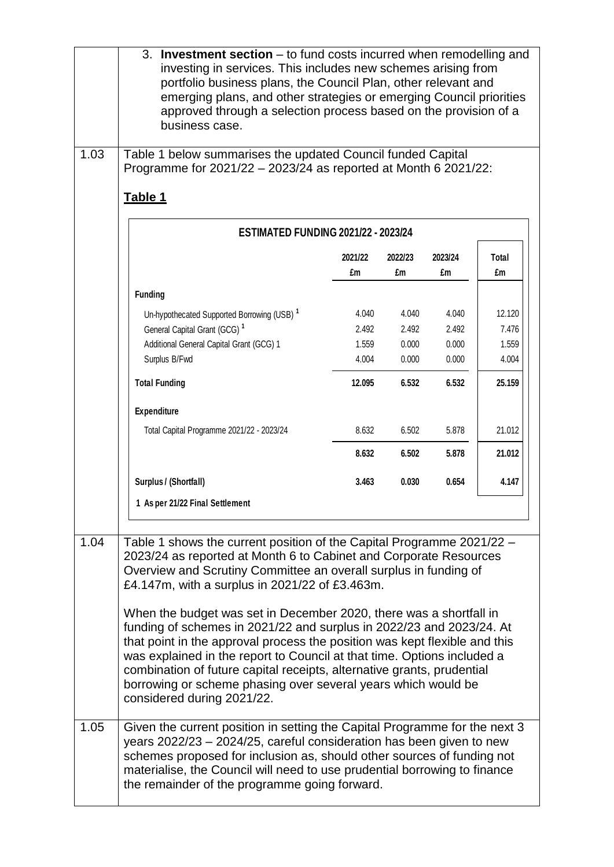|      | 3. Investment section - to fund costs incurred when remodelling and<br>investing in services. This includes new schemes arising from<br>portfolio business plans, the Council Plan, other relevant and<br>emerging plans, and other strategies or emerging Council priorities<br>approved through a selection process based on the provision of a<br>business case.                                                                                                                                                                                                                                                                                                                                                                              |               |               |               |             |
|------|--------------------------------------------------------------------------------------------------------------------------------------------------------------------------------------------------------------------------------------------------------------------------------------------------------------------------------------------------------------------------------------------------------------------------------------------------------------------------------------------------------------------------------------------------------------------------------------------------------------------------------------------------------------------------------------------------------------------------------------------------|---------------|---------------|---------------|-------------|
| 1.03 | Table 1 below summarises the updated Council funded Capital<br>Programme for 2021/22 - 2023/24 as reported at Month 6 2021/22:<br>Table 1                                                                                                                                                                                                                                                                                                                                                                                                                                                                                                                                                                                                        |               |               |               |             |
|      | <b>ESTIMATED FUNDING 2021/22 - 2023/24</b>                                                                                                                                                                                                                                                                                                                                                                                                                                                                                                                                                                                                                                                                                                       |               |               |               |             |
|      |                                                                                                                                                                                                                                                                                                                                                                                                                                                                                                                                                                                                                                                                                                                                                  | 2021/22<br>£m | 2022/23<br>£m | 2023/24<br>£m | Total<br>£m |
|      | <b>Funding</b>                                                                                                                                                                                                                                                                                                                                                                                                                                                                                                                                                                                                                                                                                                                                   |               |               |               |             |
|      | Un-hypothecated Supported Borrowing (USB) <sup>1</sup>                                                                                                                                                                                                                                                                                                                                                                                                                                                                                                                                                                                                                                                                                           | 4.040         | 4.040         | 4.040         | 12.120      |
|      | General Capital Grant (GCG) <sup>1</sup>                                                                                                                                                                                                                                                                                                                                                                                                                                                                                                                                                                                                                                                                                                         | 2.492         | 2.492         | 2.492         | 7.476       |
|      | Additional General Capital Grant (GCG) 1                                                                                                                                                                                                                                                                                                                                                                                                                                                                                                                                                                                                                                                                                                         | 1.559         | 0.000         | 0.000         | 1.559       |
|      | Surplus B/Fwd                                                                                                                                                                                                                                                                                                                                                                                                                                                                                                                                                                                                                                                                                                                                    | 4.004         | 0.000         | 0.000         | 4.004       |
|      | <b>Total Funding</b>                                                                                                                                                                                                                                                                                                                                                                                                                                                                                                                                                                                                                                                                                                                             | 12.095        | 6.532         | 6.532         | 25.159      |
|      | Expenditure                                                                                                                                                                                                                                                                                                                                                                                                                                                                                                                                                                                                                                                                                                                                      |               |               |               |             |
|      | Total Capital Programme 2021/22 - 2023/24                                                                                                                                                                                                                                                                                                                                                                                                                                                                                                                                                                                                                                                                                                        | 8.632         | 6.502         | 5.878         | 21.012      |
|      |                                                                                                                                                                                                                                                                                                                                                                                                                                                                                                                                                                                                                                                                                                                                                  | 8.632         | 6.502         | 5.878         | 21.012      |
|      | Surplus / (Shortfall)                                                                                                                                                                                                                                                                                                                                                                                                                                                                                                                                                                                                                                                                                                                            | 3.463         | 0.030         | 0.654         | 4.147       |
|      | 1 As per 21/22 Final Settlement                                                                                                                                                                                                                                                                                                                                                                                                                                                                                                                                                                                                                                                                                                                  |               |               |               |             |
| 1.04 | Table 1 shows the current position of the Capital Programme 2021/22 -<br>2023/24 as reported at Month 6 to Cabinet and Corporate Resources<br>Overview and Scrutiny Committee an overall surplus in funding of<br>£4.147m, with a surplus in 2021/22 of £3.463m.<br>When the budget was set in December 2020, there was a shortfall in<br>funding of schemes in 2021/22 and surplus in 2022/23 and 2023/24. At<br>that point in the approval process the position was kept flexible and this<br>was explained in the report to Council at that time. Options included a<br>combination of future capital receipts, alternative grants, prudential<br>borrowing or scheme phasing over several years which would be<br>considered during 2021/22. |               |               |               |             |
| 1.05 | Given the current position in setting the Capital Programme for the next 3<br>years 2022/23 - 2024/25, careful consideration has been given to new<br>schemes proposed for inclusion as, should other sources of funding not<br>materialise, the Council will need to use prudential borrowing to finance<br>the remainder of the programme going forward.                                                                                                                                                                                                                                                                                                                                                                                       |               |               |               |             |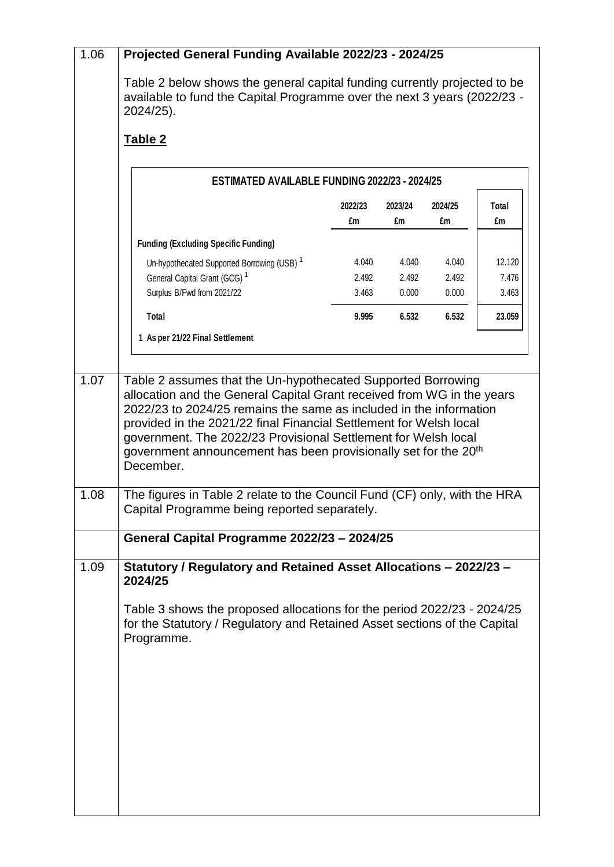| 1.06 | Projected General Funding Available 2022/23 - 2024/25                                                                                                                                                                                                                                                                                                                                                                                                                                                         |                         |                         |                         |                          |
|------|---------------------------------------------------------------------------------------------------------------------------------------------------------------------------------------------------------------------------------------------------------------------------------------------------------------------------------------------------------------------------------------------------------------------------------------------------------------------------------------------------------------|-------------------------|-------------------------|-------------------------|--------------------------|
|      | Table 2 below shows the general capital funding currently projected to be<br>available to fund the Capital Programme over the next 3 years (2022/23 -<br>2024/25).                                                                                                                                                                                                                                                                                                                                            |                         |                         |                         |                          |
|      | Table 2                                                                                                                                                                                                                                                                                                                                                                                                                                                                                                       |                         |                         |                         |                          |
|      | <b>ESTIMATED AVAILABLE FUNDING 2022/23 - 2024/25</b>                                                                                                                                                                                                                                                                                                                                                                                                                                                          |                         |                         |                         |                          |
|      |                                                                                                                                                                                                                                                                                                                                                                                                                                                                                                               | 2022/23<br>£m           | 2023/24<br>£m           | 2024/25<br>£m           | Total<br>£m              |
|      | <b>Funding (Excluding Specific Funding)</b>                                                                                                                                                                                                                                                                                                                                                                                                                                                                   |                         |                         |                         |                          |
|      | Un-hypothecated Supported Borrowing (USB) <sup>1</sup><br>General Capital Grant (GCG) <sup>1</sup><br>Surplus B/Fwd from 2021/22                                                                                                                                                                                                                                                                                                                                                                              | 4.040<br>2.492<br>3.463 | 4.040<br>2.492<br>0.000 | 4.040<br>2.492<br>0.000 | 12.120<br>7.476<br>3.463 |
|      | Total                                                                                                                                                                                                                                                                                                                                                                                                                                                                                                         | 9.995                   | 6.532                   | 6.532                   | 23.059                   |
|      | 1 As per 21/22 Final Settlement                                                                                                                                                                                                                                                                                                                                                                                                                                                                               |                         |                         |                         |                          |
| 1.08 | allocation and the General Capital Grant received from WG in the years<br>2022/23 to 2024/25 remains the same as included in the information<br>provided in the 2021/22 final Financial Settlement for Welsh local<br>government. The 2022/23 Provisional Settlement for Welsh local<br>government announcement has been provisionally set for the 20 <sup>th</sup><br>December.<br>The figures in Table 2 relate to the Council Fund (CF) only, with the HRA<br>Capital Programme being reported separately. |                         |                         |                         |                          |
|      | General Capital Programme 2022/23 - 2024/25                                                                                                                                                                                                                                                                                                                                                                                                                                                                   |                         |                         |                         |                          |
| 1.09 | Statutory / Regulatory and Retained Asset Allocations - 2022/23 -<br>2024/25                                                                                                                                                                                                                                                                                                                                                                                                                                  |                         |                         |                         |                          |
|      | Table 3 shows the proposed allocations for the period 2022/23 - 2024/25<br>for the Statutory / Regulatory and Retained Asset sections of the Capital<br>Programme.                                                                                                                                                                                                                                                                                                                                            |                         |                         |                         |                          |
|      |                                                                                                                                                                                                                                                                                                                                                                                                                                                                                                               |                         |                         |                         |                          |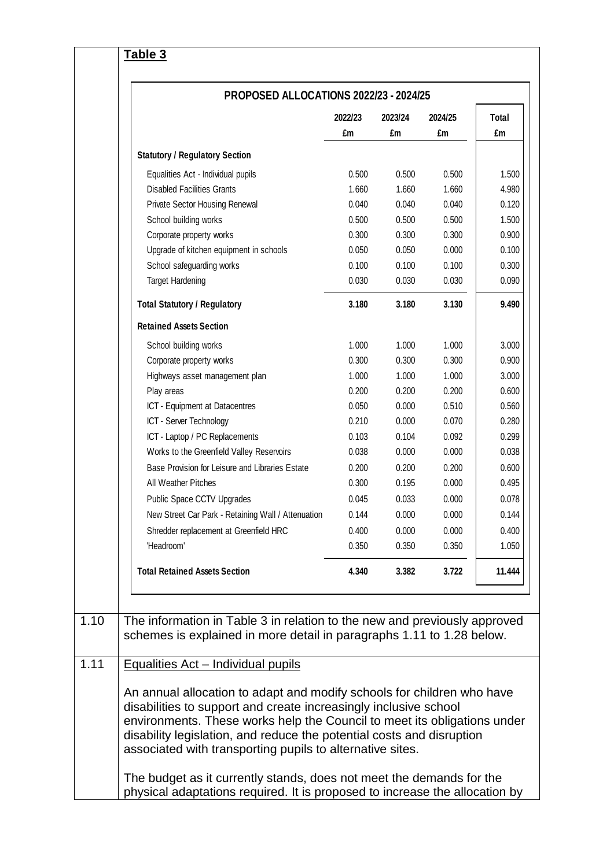|                                                    | <b>PROPOSED ALLOCATIONS 2022/23 - 2024/25</b> |         |         |        |  |  |
|----------------------------------------------------|-----------------------------------------------|---------|---------|--------|--|--|
|                                                    | 2022/23                                       | 2023/24 | 2024/25 | Total  |  |  |
|                                                    | £m                                            | £m      | £m      | £m     |  |  |
| <b>Statutory / Regulatory Section</b>              |                                               |         |         |        |  |  |
| Equalities Act - Individual pupils                 | 0.500                                         | 0.500   | 0.500   | 1.500  |  |  |
| <b>Disabled Facilities Grants</b>                  | 1.660                                         | 1.660   | 1.660   | 4.980  |  |  |
| Private Sector Housing Renewal                     | 0.040                                         | 0.040   | 0.040   | 0.120  |  |  |
| School building works                              | 0.500                                         | 0.500   | 0.500   | 1.500  |  |  |
| Corporate property works                           | 0.300                                         | 0.300   | 0.300   | 0.900  |  |  |
| Upgrade of kitchen equipment in schools            | 0.050                                         | 0.050   | 0.000   | 0.100  |  |  |
| School safeguarding works                          | 0.100                                         | 0.100   | 0.100   | 0.300  |  |  |
| <b>Target Hardening</b>                            | 0.030                                         | 0.030   | 0.030   | 0.090  |  |  |
| <b>Total Statutory / Regulatory</b>                | 3.180                                         | 3.180   | 3.130   | 9.490  |  |  |
| <b>Retained Assets Section</b>                     |                                               |         |         |        |  |  |
| School building works                              | 1.000                                         | 1.000   | 1.000   | 3.000  |  |  |
| Corporate property works                           | 0.300                                         | 0.300   | 0.300   | 0.900  |  |  |
| Highways asset management plan                     | 1.000                                         | 1.000   | 1.000   | 3.000  |  |  |
| Play areas                                         | 0.200                                         | 0.200   | 0.200   | 0.600  |  |  |
| ICT - Equipment at Datacentres                     | 0.050                                         | 0.000   | 0.510   | 0.560  |  |  |
| ICT - Server Technology                            | 0.210                                         | 0.000   | 0.070   | 0.280  |  |  |
| ICT - Laptop / PC Replacements                     | 0.103                                         | 0.104   | 0.092   | 0.299  |  |  |
| Works to the Greenfield Valley Reservoirs          | 0.038                                         | 0.000   | 0.000   | 0.038  |  |  |
| Base Provision for Leisure and Libraries Estate    | 0.200                                         | 0.200   | 0.200   | 0.600  |  |  |
| All Weather Pitches                                | 0.300                                         | 0.195   | 0.000   | 0.495  |  |  |
| Public Space CCTV Upgrades                         | 0.045                                         | 0.033   | 0.000   | 0.078  |  |  |
| New Street Car Park - Retaining Wall / Attenuation | 0.144                                         | 0.000   | 0.000   | 0.144  |  |  |
| Shredder replacement at Greenfield HRC             | 0.400                                         | 0.000   | 0.000   | 0.400  |  |  |
| 'Headroom'                                         | 0.350                                         | 0.350   | 0.350   | 1.050  |  |  |
|                                                    |                                               |         |         |        |  |  |
| <b>Total Retained Assets Section</b>               | 4.340                                         | 3.382   | 3.722   | 11.444 |  |  |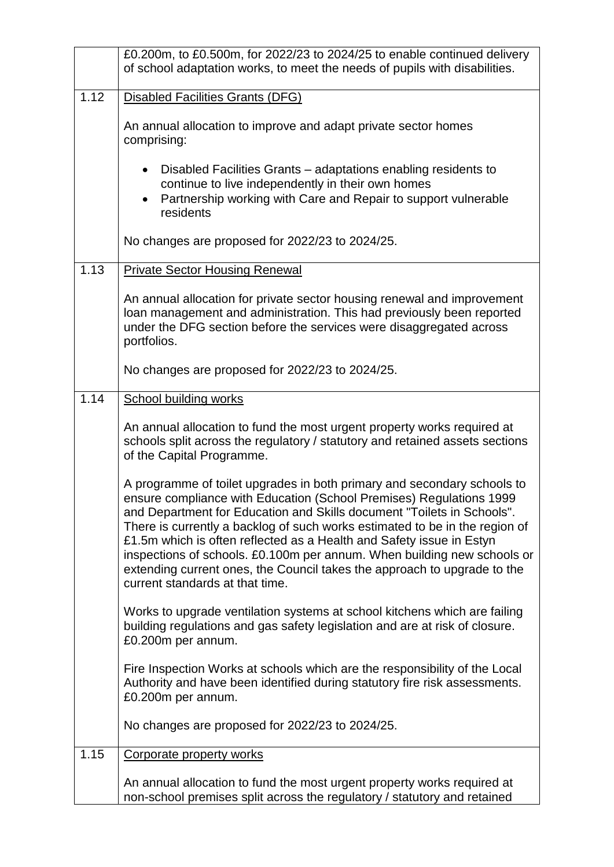|      | £0.200m, to £0.500m, for 2022/23 to 2024/25 to enable continued delivery                                                                                                                                                                                                                                                                                                                                                                                                                                                                                                  |
|------|---------------------------------------------------------------------------------------------------------------------------------------------------------------------------------------------------------------------------------------------------------------------------------------------------------------------------------------------------------------------------------------------------------------------------------------------------------------------------------------------------------------------------------------------------------------------------|
|      | of school adaptation works, to meet the needs of pupils with disabilities.                                                                                                                                                                                                                                                                                                                                                                                                                                                                                                |
| 1.12 | <b>Disabled Facilities Grants (DFG)</b>                                                                                                                                                                                                                                                                                                                                                                                                                                                                                                                                   |
|      | An annual allocation to improve and adapt private sector homes<br>comprising:                                                                                                                                                                                                                                                                                                                                                                                                                                                                                             |
|      | Disabled Facilities Grants – adaptations enabling residents to<br>continue to live independently in their own homes<br>Partnership working with Care and Repair to support vulnerable<br>residents                                                                                                                                                                                                                                                                                                                                                                        |
|      | No changes are proposed for 2022/23 to 2024/25.                                                                                                                                                                                                                                                                                                                                                                                                                                                                                                                           |
| 1.13 | <b>Private Sector Housing Renewal</b>                                                                                                                                                                                                                                                                                                                                                                                                                                                                                                                                     |
|      | An annual allocation for private sector housing renewal and improvement<br>loan management and administration. This had previously been reported<br>under the DFG section before the services were disaggregated across<br>portfolios.                                                                                                                                                                                                                                                                                                                                    |
|      | No changes are proposed for 2022/23 to 2024/25.                                                                                                                                                                                                                                                                                                                                                                                                                                                                                                                           |
| 1.14 | <b>School building works</b>                                                                                                                                                                                                                                                                                                                                                                                                                                                                                                                                              |
|      | An annual allocation to fund the most urgent property works required at<br>schools split across the regulatory / statutory and retained assets sections<br>of the Capital Programme.                                                                                                                                                                                                                                                                                                                                                                                      |
|      | A programme of toilet upgrades in both primary and secondary schools to<br>ensure compliance with Education (School Premises) Regulations 1999<br>and Department for Education and Skills document "Toilets in Schools".<br>There is currently a backlog of such works estimated to be in the region of<br>£1.5m which is often reflected as a Health and Safety issue in Estyn<br>inspections of schools. £0.100m per annum. When building new schools or<br>extending current ones, the Council takes the approach to upgrade to the<br>current standards at that time. |
|      | Works to upgrade ventilation systems at school kitchens which are failing<br>building regulations and gas safety legislation and are at risk of closure.<br>£0.200m per annum.                                                                                                                                                                                                                                                                                                                                                                                            |
|      | Fire Inspection Works at schools which are the responsibility of the Local<br>Authority and have been identified during statutory fire risk assessments.<br>£0.200m per annum.                                                                                                                                                                                                                                                                                                                                                                                            |
|      | No changes are proposed for 2022/23 to 2024/25.                                                                                                                                                                                                                                                                                                                                                                                                                                                                                                                           |
| 1.15 | <b>Corporate property works</b>                                                                                                                                                                                                                                                                                                                                                                                                                                                                                                                                           |
|      | An annual allocation to fund the most urgent property works required at<br>non-school premises split across the regulatory / statutory and retained                                                                                                                                                                                                                                                                                                                                                                                                                       |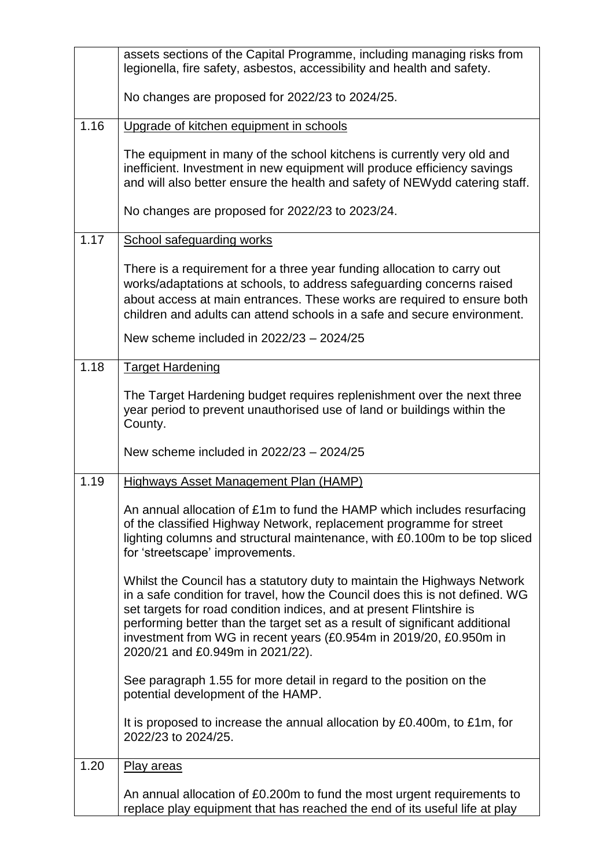|      | assets sections of the Capital Programme, including managing risks from<br>legionella, fire safety, asbestos, accessibility and health and safety.                                                                                                                                                                                                                                                                        |
|------|---------------------------------------------------------------------------------------------------------------------------------------------------------------------------------------------------------------------------------------------------------------------------------------------------------------------------------------------------------------------------------------------------------------------------|
|      | No changes are proposed for 2022/23 to 2024/25.                                                                                                                                                                                                                                                                                                                                                                           |
| 1.16 | Upgrade of kitchen equipment in schools                                                                                                                                                                                                                                                                                                                                                                                   |
|      | The equipment in many of the school kitchens is currently very old and<br>inefficient. Investment in new equipment will produce efficiency savings<br>and will also better ensure the health and safety of NEWydd catering staff.                                                                                                                                                                                         |
|      | No changes are proposed for 2022/23 to 2023/24.                                                                                                                                                                                                                                                                                                                                                                           |
| 1.17 | <b>School safeguarding works</b>                                                                                                                                                                                                                                                                                                                                                                                          |
|      | There is a requirement for a three year funding allocation to carry out<br>works/adaptations at schools, to address safeguarding concerns raised<br>about access at main entrances. These works are required to ensure both<br>children and adults can attend schools in a safe and secure environment.                                                                                                                   |
|      | New scheme included in 2022/23 - 2024/25                                                                                                                                                                                                                                                                                                                                                                                  |
| 1.18 | <b>Target Hardening</b>                                                                                                                                                                                                                                                                                                                                                                                                   |
|      | The Target Hardening budget requires replenishment over the next three<br>year period to prevent unauthorised use of land or buildings within the<br>County.                                                                                                                                                                                                                                                              |
|      | New scheme included in 2022/23 - 2024/25                                                                                                                                                                                                                                                                                                                                                                                  |
| 1.19 | <b>Highways Asset Management Plan (HAMP)</b>                                                                                                                                                                                                                                                                                                                                                                              |
|      | An annual allocation of £1m to fund the HAMP which includes resurfacing<br>of the classified Highway Network, replacement programme for street<br>lighting columns and structural maintenance, with £0.100m to be top sliced<br>for 'streetscape' improvements.                                                                                                                                                           |
|      | Whilst the Council has a statutory duty to maintain the Highways Network<br>in a safe condition for travel, how the Council does this is not defined. WG<br>set targets for road condition indices, and at present Flintshire is<br>performing better than the target set as a result of significant additional<br>investment from WG in recent years (£0.954m in 2019/20, £0.950m in<br>2020/21 and £0.949m in 2021/22). |
|      | See paragraph 1.55 for more detail in regard to the position on the<br>potential development of the HAMP.                                                                                                                                                                                                                                                                                                                 |
|      | It is proposed to increase the annual allocation by £0.400m, to £1m, for<br>2022/23 to 2024/25.                                                                                                                                                                                                                                                                                                                           |
| 1.20 | <b>Play areas</b>                                                                                                                                                                                                                                                                                                                                                                                                         |
|      | An annual allocation of £0.200m to fund the most urgent requirements to<br>replace play equipment that has reached the end of its useful life at play                                                                                                                                                                                                                                                                     |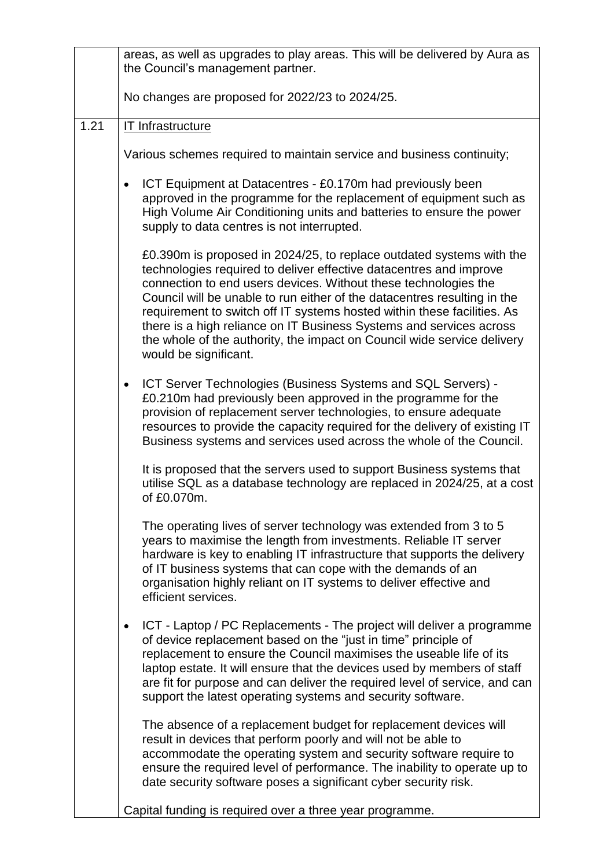|      | areas, as well as upgrades to play areas. This will be delivered by Aura as<br>the Council's management partner.                                                                                                                                                                                                                                                                                                                                                                                                                                |
|------|-------------------------------------------------------------------------------------------------------------------------------------------------------------------------------------------------------------------------------------------------------------------------------------------------------------------------------------------------------------------------------------------------------------------------------------------------------------------------------------------------------------------------------------------------|
|      | No changes are proposed for 2022/23 to 2024/25.                                                                                                                                                                                                                                                                                                                                                                                                                                                                                                 |
| 1.21 | <b>IT Infrastructure</b>                                                                                                                                                                                                                                                                                                                                                                                                                                                                                                                        |
|      | Various schemes required to maintain service and business continuity;                                                                                                                                                                                                                                                                                                                                                                                                                                                                           |
|      | ICT Equipment at Datacentres - £0.170m had previously been<br>$\bullet$<br>approved in the programme for the replacement of equipment such as<br>High Volume Air Conditioning units and batteries to ensure the power<br>supply to data centres is not interrupted.                                                                                                                                                                                                                                                                             |
|      | £0.390m is proposed in 2024/25, to replace outdated systems with the<br>technologies required to deliver effective datacentres and improve<br>connection to end users devices. Without these technologies the<br>Council will be unable to run either of the datacentres resulting in the<br>requirement to switch off IT systems hosted within these facilities. As<br>there is a high reliance on IT Business Systems and services across<br>the whole of the authority, the impact on Council wide service delivery<br>would be significant. |
|      | ICT Server Technologies (Business Systems and SQL Servers) -<br>$\bullet$<br>£0.210m had previously been approved in the programme for the<br>provision of replacement server technologies, to ensure adequate<br>resources to provide the capacity required for the delivery of existing IT<br>Business systems and services used across the whole of the Council.                                                                                                                                                                             |
|      | It is proposed that the servers used to support Business systems that<br>utilise SQL as a database technology are replaced in 2024/25, at a cost<br>of £0.070m.                                                                                                                                                                                                                                                                                                                                                                                 |
|      | The operating lives of server technology was extended from 3 to 5<br>years to maximise the length from investments. Reliable IT server<br>hardware is key to enabling IT infrastructure that supports the delivery<br>of IT business systems that can cope with the demands of an<br>organisation highly reliant on IT systems to deliver effective and<br>efficient services.                                                                                                                                                                  |
|      | ICT - Laptop / PC Replacements - The project will deliver a programme<br>$\bullet$<br>of device replacement based on the "just in time" principle of<br>replacement to ensure the Council maximises the useable life of its<br>laptop estate. It will ensure that the devices used by members of staff<br>are fit for purpose and can deliver the required level of service, and can<br>support the latest operating systems and security software.                                                                                             |
|      | The absence of a replacement budget for replacement devices will<br>result in devices that perform poorly and will not be able to<br>accommodate the operating system and security software require to<br>ensure the required level of performance. The inability to operate up to<br>date security software poses a significant cyber security risk.                                                                                                                                                                                           |
|      | Capital funding is required over a three year programme.                                                                                                                                                                                                                                                                                                                                                                                                                                                                                        |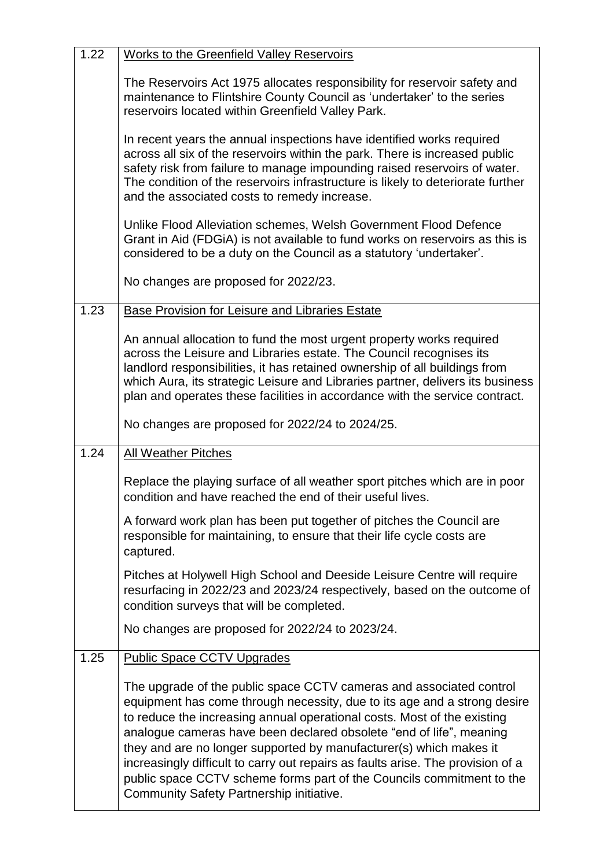| <b>Works to the Greenfield Valley Reservoirs</b>                                                                                                                                                                                                                                                                                                                                                                                                                                                                                                                                |
|---------------------------------------------------------------------------------------------------------------------------------------------------------------------------------------------------------------------------------------------------------------------------------------------------------------------------------------------------------------------------------------------------------------------------------------------------------------------------------------------------------------------------------------------------------------------------------|
| The Reservoirs Act 1975 allocates responsibility for reservoir safety and<br>maintenance to Flintshire County Council as 'undertaker' to the series<br>reservoirs located within Greenfield Valley Park.                                                                                                                                                                                                                                                                                                                                                                        |
| In recent years the annual inspections have identified works required<br>across all six of the reservoirs within the park. There is increased public<br>safety risk from failure to manage impounding raised reservoirs of water.<br>The condition of the reservoirs infrastructure is likely to deteriorate further<br>and the associated costs to remedy increase.                                                                                                                                                                                                            |
| Unlike Flood Alleviation schemes, Welsh Government Flood Defence<br>Grant in Aid (FDGiA) is not available to fund works on reservoirs as this is<br>considered to be a duty on the Council as a statutory 'undertaker'.                                                                                                                                                                                                                                                                                                                                                         |
| No changes are proposed for 2022/23.                                                                                                                                                                                                                                                                                                                                                                                                                                                                                                                                            |
| Base Provision for Leisure and Libraries Estate                                                                                                                                                                                                                                                                                                                                                                                                                                                                                                                                 |
| An annual allocation to fund the most urgent property works required<br>across the Leisure and Libraries estate. The Council recognises its<br>landlord responsibilities, it has retained ownership of all buildings from<br>which Aura, its strategic Leisure and Libraries partner, delivers its business<br>plan and operates these facilities in accordance with the service contract.                                                                                                                                                                                      |
| No changes are proposed for 2022/24 to 2024/25.                                                                                                                                                                                                                                                                                                                                                                                                                                                                                                                                 |
| <b>All Weather Pitches</b>                                                                                                                                                                                                                                                                                                                                                                                                                                                                                                                                                      |
| Replace the playing surface of all weather sport pitches which are in poor<br>condition and have reached the end of their useful lives.                                                                                                                                                                                                                                                                                                                                                                                                                                         |
| A forward work plan has been put together of pitches the Council are<br>responsible for maintaining, to ensure that their life cycle costs are<br>captured.                                                                                                                                                                                                                                                                                                                                                                                                                     |
| Pitches at Holywell High School and Deeside Leisure Centre will require<br>resurfacing in 2022/23 and 2023/24 respectively, based on the outcome of<br>condition surveys that will be completed.                                                                                                                                                                                                                                                                                                                                                                                |
| No changes are proposed for 2022/24 to 2023/24.                                                                                                                                                                                                                                                                                                                                                                                                                                                                                                                                 |
| <b>Public Space CCTV Upgrades</b>                                                                                                                                                                                                                                                                                                                                                                                                                                                                                                                                               |
| The upgrade of the public space CCTV cameras and associated control<br>equipment has come through necessity, due to its age and a strong desire<br>to reduce the increasing annual operational costs. Most of the existing<br>analogue cameras have been declared obsolete "end of life", meaning<br>they and are no longer supported by manufacturer(s) which makes it<br>increasingly difficult to carry out repairs as faults arise. The provision of a<br>public space CCTV scheme forms part of the Councils commitment to the<br>Community Safety Partnership initiative. |
|                                                                                                                                                                                                                                                                                                                                                                                                                                                                                                                                                                                 |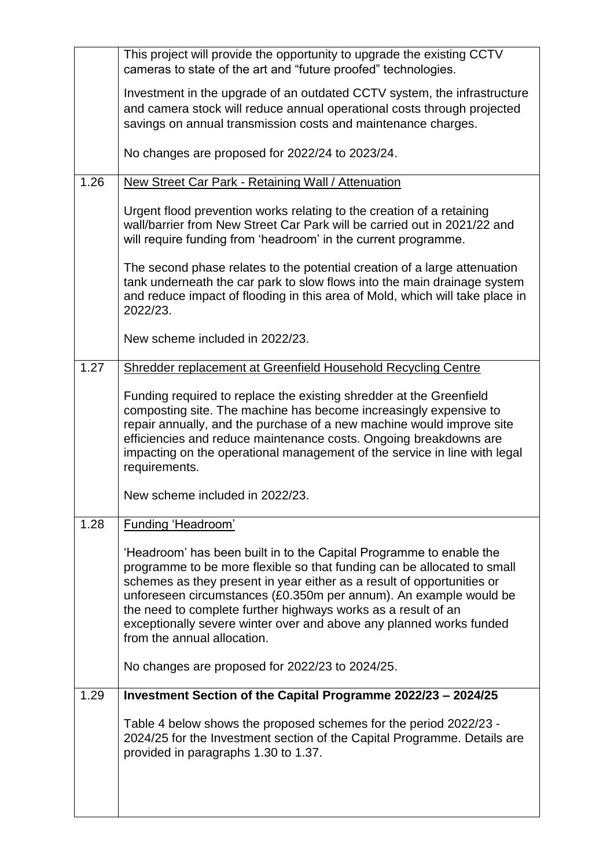|      | This project will provide the opportunity to upgrade the existing CCTV<br>cameras to state of the art and "future proofed" technologies.                                                                                                                                                                                                                                                                                                                             |
|------|----------------------------------------------------------------------------------------------------------------------------------------------------------------------------------------------------------------------------------------------------------------------------------------------------------------------------------------------------------------------------------------------------------------------------------------------------------------------|
|      | Investment in the upgrade of an outdated CCTV system, the infrastructure<br>and camera stock will reduce annual operational costs through projected<br>savings on annual transmission costs and maintenance charges.                                                                                                                                                                                                                                                 |
|      | No changes are proposed for 2022/24 to 2023/24.                                                                                                                                                                                                                                                                                                                                                                                                                      |
| 1.26 | New Street Car Park - Retaining Wall / Attenuation                                                                                                                                                                                                                                                                                                                                                                                                                   |
|      | Urgent flood prevention works relating to the creation of a retaining<br>wall/barrier from New Street Car Park will be carried out in 2021/22 and<br>will require funding from 'headroom' in the current programme.                                                                                                                                                                                                                                                  |
|      | The second phase relates to the potential creation of a large attenuation<br>tank underneath the car park to slow flows into the main drainage system<br>and reduce impact of flooding in this area of Mold, which will take place in<br>2022/23.                                                                                                                                                                                                                    |
|      | New scheme included in 2022/23.                                                                                                                                                                                                                                                                                                                                                                                                                                      |
| 1.27 | Shredder replacement at Greenfield Household Recycling Centre                                                                                                                                                                                                                                                                                                                                                                                                        |
|      | Funding required to replace the existing shredder at the Greenfield<br>composting site. The machine has become increasingly expensive to<br>repair annually, and the purchase of a new machine would improve site<br>efficiencies and reduce maintenance costs. Ongoing breakdowns are<br>impacting on the operational management of the service in line with legal<br>requirements.                                                                                 |
|      | New scheme included in 2022/23.                                                                                                                                                                                                                                                                                                                                                                                                                                      |
| 1.28 | <b>Funding 'Headroom'</b>                                                                                                                                                                                                                                                                                                                                                                                                                                            |
|      | 'Headroom' has been built in to the Capital Programme to enable the<br>programme to be more flexible so that funding can be allocated to small<br>schemes as they present in year either as a result of opportunities or<br>unforeseen circumstances (£0.350m per annum). An example would be<br>the need to complete further highways works as a result of an<br>exceptionally severe winter over and above any planned works funded<br>from the annual allocation. |
|      | No changes are proposed for 2022/23 to 2024/25.                                                                                                                                                                                                                                                                                                                                                                                                                      |
| 1.29 | Investment Section of the Capital Programme 2022/23 - 2024/25                                                                                                                                                                                                                                                                                                                                                                                                        |
|      | Table 4 below shows the proposed schemes for the period 2022/23 -<br>2024/25 for the Investment section of the Capital Programme. Details are<br>provided in paragraphs 1.30 to 1.37.                                                                                                                                                                                                                                                                                |
|      |                                                                                                                                                                                                                                                                                                                                                                                                                                                                      |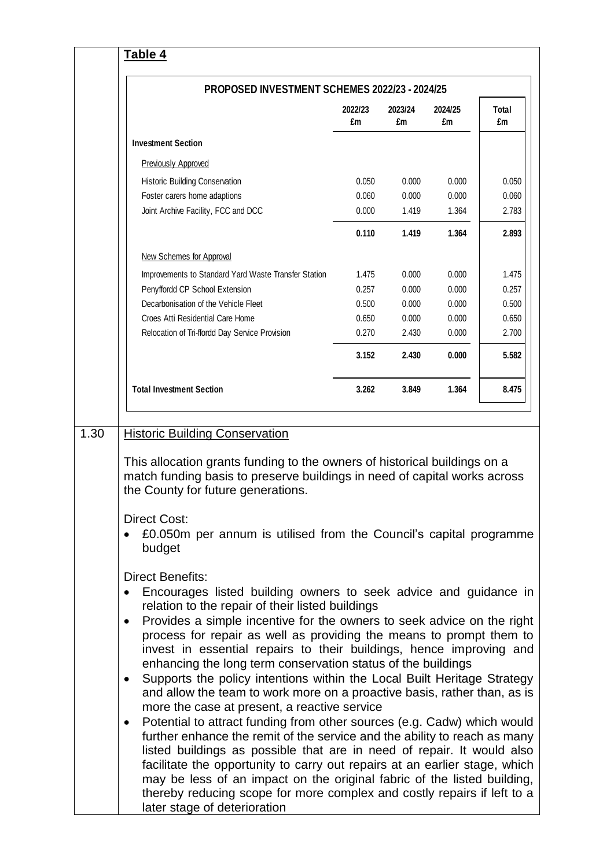| PROPOSED INVESTMENT SCHEMES 2022/23 - 2024/25                                                                                                                                                                                                                                                                                                                                                                                                                                                                                                                                                                            |               |               |               |             |  |
|--------------------------------------------------------------------------------------------------------------------------------------------------------------------------------------------------------------------------------------------------------------------------------------------------------------------------------------------------------------------------------------------------------------------------------------------------------------------------------------------------------------------------------------------------------------------------------------------------------------------------|---------------|---------------|---------------|-------------|--|
|                                                                                                                                                                                                                                                                                                                                                                                                                                                                                                                                                                                                                          | 2022/23<br>£m | 2023/24<br>£m | 2024/25<br>£m | Total<br>£m |  |
| <b>Investment Section</b>                                                                                                                                                                                                                                                                                                                                                                                                                                                                                                                                                                                                |               |               |               |             |  |
| <b>Previously Approved</b>                                                                                                                                                                                                                                                                                                                                                                                                                                                                                                                                                                                               |               |               |               |             |  |
| Historic Building Conservation                                                                                                                                                                                                                                                                                                                                                                                                                                                                                                                                                                                           | 0.050         | 0.000         | 0.000         | 0.050       |  |
| Foster carers home adaptions                                                                                                                                                                                                                                                                                                                                                                                                                                                                                                                                                                                             | 0.060         | 0.000         | 0.000         | 0.060       |  |
| Joint Archive Facility, FCC and DCC                                                                                                                                                                                                                                                                                                                                                                                                                                                                                                                                                                                      | 0.000         | 1.419         | 1.364         | 2.783       |  |
|                                                                                                                                                                                                                                                                                                                                                                                                                                                                                                                                                                                                                          | 0.110         | 1.419         | 1.364         | 2.893       |  |
| New Schemes for Approval                                                                                                                                                                                                                                                                                                                                                                                                                                                                                                                                                                                                 |               |               |               |             |  |
| Improvements to Standard Yard Waste Transfer Station                                                                                                                                                                                                                                                                                                                                                                                                                                                                                                                                                                     | 1.475         | 0.000         | 0.000         | 1.475       |  |
| Penyffordd CP School Extension                                                                                                                                                                                                                                                                                                                                                                                                                                                                                                                                                                                           | 0.257         | 0.000         | 0.000         | 0.257       |  |
| Decarbonisation of the Vehicle Fleet                                                                                                                                                                                                                                                                                                                                                                                                                                                                                                                                                                                     | 0.500         | 0.000         | 0.000         | 0.500       |  |
| Croes Atti Residential Care Home                                                                                                                                                                                                                                                                                                                                                                                                                                                                                                                                                                                         | 0.650         | 0.000         | 0.000         | 0.650       |  |
| Relocation of Tri-ffordd Day Service Provision                                                                                                                                                                                                                                                                                                                                                                                                                                                                                                                                                                           | 0.270         | 2.430         | 0.000         | 2.700       |  |
|                                                                                                                                                                                                                                                                                                                                                                                                                                                                                                                                                                                                                          | 3.152         | 2.430         | 0.000         | 5.582       |  |
| <b>Total Investment Section</b>                                                                                                                                                                                                                                                                                                                                                                                                                                                                                                                                                                                          | 3.262         | 3.849         | 1.364         | 8.475       |  |
| the County for future generations.<br><b>Direct Cost:</b>                                                                                                                                                                                                                                                                                                                                                                                                                                                                                                                                                                |               |               |               |             |  |
|                                                                                                                                                                                                                                                                                                                                                                                                                                                                                                                                                                                                                          |               |               |               |             |  |
| £0.050m per annum is utilised from the Council's capital programme<br>budget                                                                                                                                                                                                                                                                                                                                                                                                                                                                                                                                             |               |               |               |             |  |
| <b>Direct Benefits:</b><br>Encourages listed building owners to seek advice and guidance in<br>relation to the repair of their listed buildings<br>Provides a simple incentive for the owners to seek advice on the right<br>$\bullet$<br>process for repair as well as providing the means to prompt them to<br>invest in essential repairs to their buildings, hence improving and<br>enhancing the long term conservation status of the buildings<br>Supports the policy intentions within the Local Built Heritage Strategy<br>$\bullet$<br>and allow the team to work more on a proactive basis, rather than, as is |               |               |               |             |  |

r.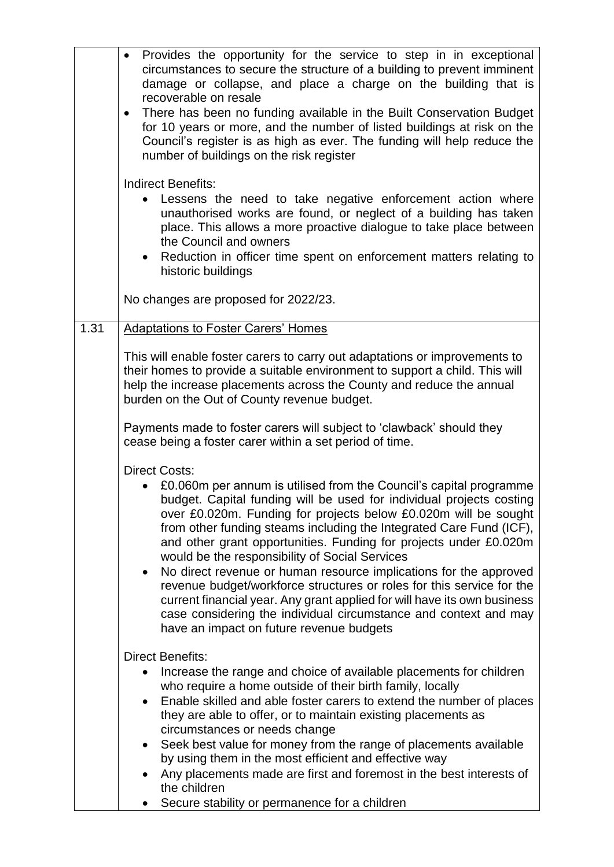|      | Provides the opportunity for the service to step in in exceptional<br>$\bullet$<br>circumstances to secure the structure of a building to prevent imminent<br>damage or collapse, and place a charge on the building that is<br>recoverable on resale<br>There has been no funding available in the Built Conservation Budget<br>$\bullet$<br>for 10 years or more, and the number of listed buildings at risk on the<br>Council's register is as high as ever. The funding will help reduce the<br>number of buildings on the risk register                                                                                                                                                                                                                                                                                                                                                                                                                                                                                                                                                                                                                                                                                                        |
|------|-----------------------------------------------------------------------------------------------------------------------------------------------------------------------------------------------------------------------------------------------------------------------------------------------------------------------------------------------------------------------------------------------------------------------------------------------------------------------------------------------------------------------------------------------------------------------------------------------------------------------------------------------------------------------------------------------------------------------------------------------------------------------------------------------------------------------------------------------------------------------------------------------------------------------------------------------------------------------------------------------------------------------------------------------------------------------------------------------------------------------------------------------------------------------------------------------------------------------------------------------------|
|      | <b>Indirect Benefits:</b><br>Lessens the need to take negative enforcement action where<br>unauthorised works are found, or neglect of a building has taken<br>place. This allows a more proactive dialogue to take place between<br>the Council and owners<br>Reduction in officer time spent on enforcement matters relating to<br>historic buildings                                                                                                                                                                                                                                                                                                                                                                                                                                                                                                                                                                                                                                                                                                                                                                                                                                                                                             |
|      | No changes are proposed for 2022/23.                                                                                                                                                                                                                                                                                                                                                                                                                                                                                                                                                                                                                                                                                                                                                                                                                                                                                                                                                                                                                                                                                                                                                                                                                |
| 1.31 | <b>Adaptations to Foster Carers' Homes</b><br>This will enable foster carers to carry out adaptations or improvements to<br>their homes to provide a suitable environment to support a child. This will<br>help the increase placements across the County and reduce the annual<br>burden on the Out of County revenue budget.<br>Payments made to foster carers will subject to 'clawback' should they<br>cease being a foster carer within a set period of time.<br><b>Direct Costs:</b><br>£0.060m per annum is utilised from the Council's capital programme<br>budget. Capital funding will be used for individual projects costing<br>over £0.020m. Funding for projects below £0.020m will be sought<br>from other funding steams including the Integrated Care Fund (ICF),<br>and other grant opportunities. Funding for projects under £0.020m<br>would be the responsibility of Social Services<br>No direct revenue or human resource implications for the approved<br>revenue budget/workforce structures or roles for this service for the<br>current financial year. Any grant applied for will have its own business<br>case considering the individual circumstance and context and may<br>have an impact on future revenue budgets |
|      | <b>Direct Benefits:</b><br>Increase the range and choice of available placements for children<br>who require a home outside of their birth family, locally<br>Enable skilled and able foster carers to extend the number of places<br>they are able to offer, or to maintain existing placements as<br>circumstances or needs change<br>Seek best value for money from the range of placements available<br>by using them in the most efficient and effective way<br>Any placements made are first and foremost in the best interests of<br>the children<br>Secure stability or permanence for a children                                                                                                                                                                                                                                                                                                                                                                                                                                                                                                                                                                                                                                           |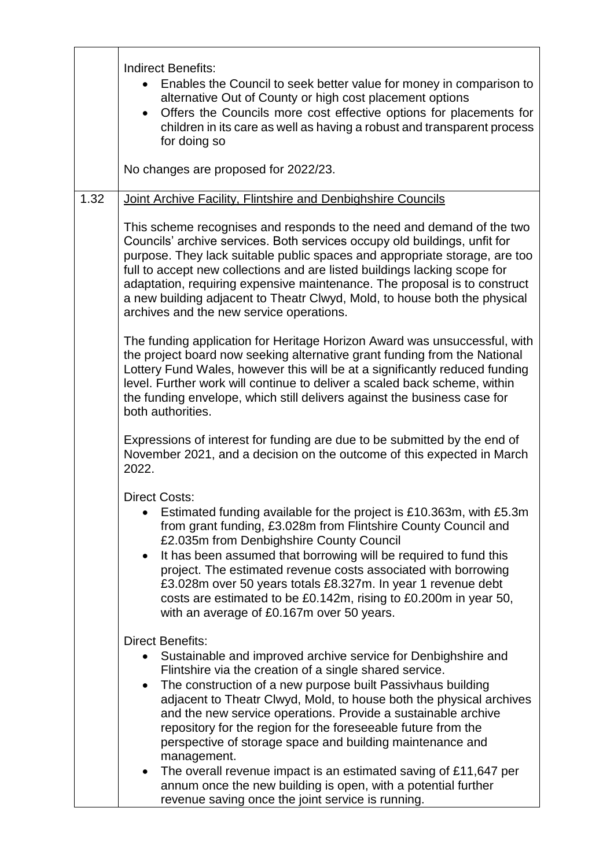|      | <b>Indirect Benefits:</b><br>Enables the Council to seek better value for money in comparison to<br>alternative Out of County or high cost placement options<br>Offers the Councils more cost effective options for placements for<br>children in its care as well as having a robust and transparent process<br>for doing so<br>No changes are proposed for 2022/23.                                                                                                                                                                                                                                                                                                  |
|------|------------------------------------------------------------------------------------------------------------------------------------------------------------------------------------------------------------------------------------------------------------------------------------------------------------------------------------------------------------------------------------------------------------------------------------------------------------------------------------------------------------------------------------------------------------------------------------------------------------------------------------------------------------------------|
| 1.32 | Joint Archive Facility, Flintshire and Denbighshire Councils                                                                                                                                                                                                                                                                                                                                                                                                                                                                                                                                                                                                           |
|      | This scheme recognises and responds to the need and demand of the two<br>Councils' archive services. Both services occupy old buildings, unfit for<br>purpose. They lack suitable public spaces and appropriate storage, are too<br>full to accept new collections and are listed buildings lacking scope for<br>adaptation, requiring expensive maintenance. The proposal is to construct<br>a new building adjacent to Theatr Clwyd, Mold, to house both the physical<br>archives and the new service operations.                                                                                                                                                    |
|      | The funding application for Heritage Horizon Award was unsuccessful, with<br>the project board now seeking alternative grant funding from the National<br>Lottery Fund Wales, however this will be at a significantly reduced funding<br>level. Further work will continue to deliver a scaled back scheme, within<br>the funding envelope, which still delivers against the business case for<br>both authorities.                                                                                                                                                                                                                                                    |
|      | Expressions of interest for funding are due to be submitted by the end of<br>November 2021, and a decision on the outcome of this expected in March<br>2022.                                                                                                                                                                                                                                                                                                                                                                                                                                                                                                           |
|      | <b>Direct Costs:</b><br>Estimated funding available for the project is £10.363m, with £5.3m<br>from grant funding, £3.028m from Flintshire County Council and<br>£2.035m from Denbighshire County Council<br>It has been assumed that borrowing will be required to fund this<br>$\bullet$<br>project. The estimated revenue costs associated with borrowing<br>£3.028m over 50 years totals £8.327m. In year 1 revenue debt<br>costs are estimated to be £0.142m, rising to £0.200m in year 50,<br>with an average of £0.167m over 50 years.                                                                                                                          |
|      | <b>Direct Benefits:</b><br>Sustainable and improved archive service for Denbighshire and<br>Flintshire via the creation of a single shared service.<br>The construction of a new purpose built Passivhaus building<br>$\bullet$<br>adjacent to Theatr Clwyd, Mold, to house both the physical archives<br>and the new service operations. Provide a sustainable archive<br>repository for the region for the foreseeable future from the<br>perspective of storage space and building maintenance and<br>management.<br>The overall revenue impact is an estimated saving of £11,647 per<br>$\bullet$<br>annum once the new building is open, with a potential further |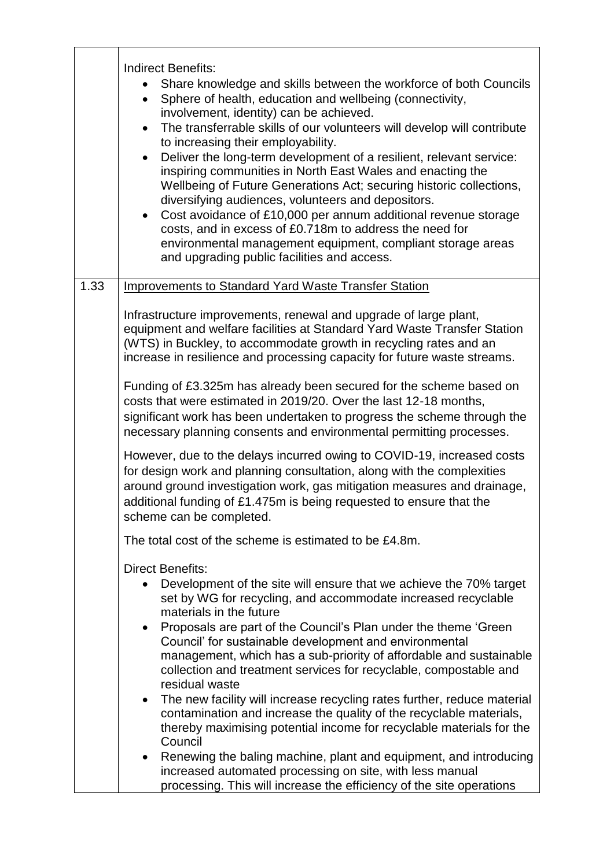|      | <b>Indirect Benefits:</b><br>Share knowledge and skills between the workforce of both Councils<br>Sphere of health, education and wellbeing (connectivity,<br>involvement, identity) can be achieved.<br>The transferrable skills of our volunteers will develop will contribute<br>to increasing their employability.<br>Deliver the long-term development of a resilient, relevant service:<br>$\bullet$<br>inspiring communities in North East Wales and enacting the<br>Wellbeing of Future Generations Act; securing historic collections,<br>diversifying audiences, volunteers and depositors.<br>Cost avoidance of £10,000 per annum additional revenue storage<br>costs, and in excess of £0.718m to address the need for<br>environmental management equipment, compliant storage areas<br>and upgrading public facilities and access. |
|------|--------------------------------------------------------------------------------------------------------------------------------------------------------------------------------------------------------------------------------------------------------------------------------------------------------------------------------------------------------------------------------------------------------------------------------------------------------------------------------------------------------------------------------------------------------------------------------------------------------------------------------------------------------------------------------------------------------------------------------------------------------------------------------------------------------------------------------------------------|
| 1.33 | <b>Improvements to Standard Yard Waste Transfer Station</b>                                                                                                                                                                                                                                                                                                                                                                                                                                                                                                                                                                                                                                                                                                                                                                                      |
|      | Infrastructure improvements, renewal and upgrade of large plant,<br>equipment and welfare facilities at Standard Yard Waste Transfer Station<br>(WTS) in Buckley, to accommodate growth in recycling rates and an<br>increase in resilience and processing capacity for future waste streams.                                                                                                                                                                                                                                                                                                                                                                                                                                                                                                                                                    |
|      | Funding of £3.325m has already been secured for the scheme based on<br>costs that were estimated in 2019/20. Over the last 12-18 months,<br>significant work has been undertaken to progress the scheme through the<br>necessary planning consents and environmental permitting processes.                                                                                                                                                                                                                                                                                                                                                                                                                                                                                                                                                       |
|      | However, due to the delays incurred owing to COVID-19, increased costs<br>for design work and planning consultation, along with the complexities<br>around ground investigation work, gas mitigation measures and drainage,<br>additional funding of £1.475m is being requested to ensure that the<br>scheme can be completed.                                                                                                                                                                                                                                                                                                                                                                                                                                                                                                                   |
|      | The total cost of the scheme is estimated to be £4.8m.                                                                                                                                                                                                                                                                                                                                                                                                                                                                                                                                                                                                                                                                                                                                                                                           |
|      | <b>Direct Benefits:</b>                                                                                                                                                                                                                                                                                                                                                                                                                                                                                                                                                                                                                                                                                                                                                                                                                          |
|      | Development of the site will ensure that we achieve the 70% target<br>set by WG for recycling, and accommodate increased recyclable<br>materials in the future                                                                                                                                                                                                                                                                                                                                                                                                                                                                                                                                                                                                                                                                                   |
|      | Proposals are part of the Council's Plan under the theme 'Green'<br>$\bullet$<br>Council' for sustainable development and environmental<br>management, which has a sub-priority of affordable and sustainable<br>collection and treatment services for recyclable, compostable and<br>residual waste                                                                                                                                                                                                                                                                                                                                                                                                                                                                                                                                             |
|      | The new facility will increase recycling rates further, reduce material<br>$\bullet$<br>contamination and increase the quality of the recyclable materials,<br>thereby maximising potential income for recyclable materials for the<br>Council                                                                                                                                                                                                                                                                                                                                                                                                                                                                                                                                                                                                   |
|      | Renewing the baling machine, plant and equipment, and introducing<br>increased automated processing on site, with less manual<br>processing. This will increase the efficiency of the site operations                                                                                                                                                                                                                                                                                                                                                                                                                                                                                                                                                                                                                                            |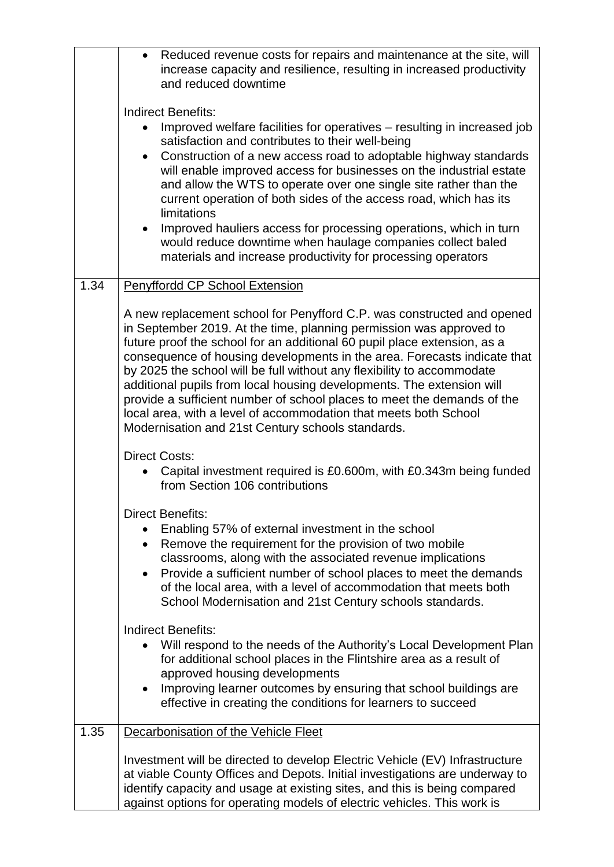|      | Reduced revenue costs for repairs and maintenance at the site, will<br>increase capacity and resilience, resulting in increased productivity<br>and reduced downtime                                                                                                                                                                                                                                                                                                                                                                                                                                                                                         |
|------|--------------------------------------------------------------------------------------------------------------------------------------------------------------------------------------------------------------------------------------------------------------------------------------------------------------------------------------------------------------------------------------------------------------------------------------------------------------------------------------------------------------------------------------------------------------------------------------------------------------------------------------------------------------|
|      | Indirect Benefits:                                                                                                                                                                                                                                                                                                                                                                                                                                                                                                                                                                                                                                           |
|      | Improved welfare facilities for operatives – resulting in increased job<br>satisfaction and contributes to their well-being                                                                                                                                                                                                                                                                                                                                                                                                                                                                                                                                  |
|      | Construction of a new access road to adoptable highway standards<br>will enable improved access for businesses on the industrial estate<br>and allow the WTS to operate over one single site rather than the<br>current operation of both sides of the access road, which has its<br>limitations                                                                                                                                                                                                                                                                                                                                                             |
|      | Improved hauliers access for processing operations, which in turn<br>$\bullet$<br>would reduce downtime when haulage companies collect baled<br>materials and increase productivity for processing operators                                                                                                                                                                                                                                                                                                                                                                                                                                                 |
| 1.34 | Penyffordd CP School Extension                                                                                                                                                                                                                                                                                                                                                                                                                                                                                                                                                                                                                               |
|      | A new replacement school for Penyfford C.P. was constructed and opened<br>in September 2019. At the time, planning permission was approved to<br>future proof the school for an additional 60 pupil place extension, as a<br>consequence of housing developments in the area. Forecasts indicate that<br>by 2025 the school will be full without any flexibility to accommodate<br>additional pupils from local housing developments. The extension will<br>provide a sufficient number of school places to meet the demands of the<br>local area, with a level of accommodation that meets both School<br>Modernisation and 21st Century schools standards. |
|      | <b>Direct Costs:</b><br>Capital investment required is £0.600m, with £0.343m being funded<br>from Section 106 contributions                                                                                                                                                                                                                                                                                                                                                                                                                                                                                                                                  |
|      | <b>Direct Benefits:</b><br>Enabling 57% of external investment in the school<br>Remove the requirement for the provision of two mobile<br>$\bullet$<br>classrooms, along with the associated revenue implications<br>Provide a sufficient number of school places to meet the demands<br>$\bullet$<br>of the local area, with a level of accommodation that meets both<br>School Modernisation and 21st Century schools standards.                                                                                                                                                                                                                           |
|      | <b>Indirect Benefits:</b><br>Will respond to the needs of the Authority's Local Development Plan<br>for additional school places in the Flintshire area as a result of<br>approved housing developments<br>Improving learner outcomes by ensuring that school buildings are<br>effective in creating the conditions for learners to succeed                                                                                                                                                                                                                                                                                                                  |
| 1.35 | Decarbonisation of the Vehicle Fleet                                                                                                                                                                                                                                                                                                                                                                                                                                                                                                                                                                                                                         |
|      | Investment will be directed to develop Electric Vehicle (EV) Infrastructure<br>at viable County Offices and Depots. Initial investigations are underway to<br>identify capacity and usage at existing sites, and this is being compared<br>against options for operating models of electric vehicles. This work is                                                                                                                                                                                                                                                                                                                                           |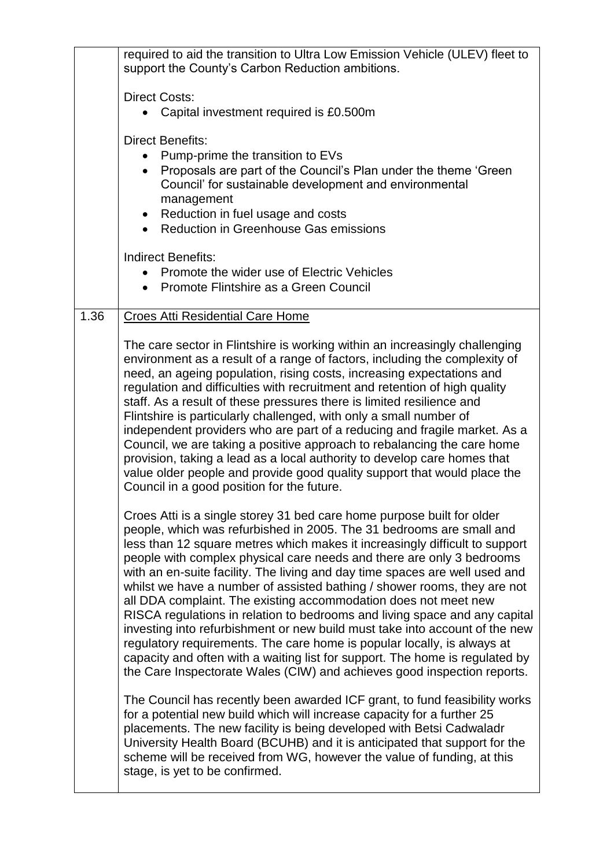|                        | required to aid the transition to Ultra Low Emission Vehicle (ULEV) fleet to<br>support the County's Carbon Reduction ambitions.                                                                                                                                                                                                                                                                                                                                                                                                                                                                                                                                                                                                                                                                                                                                                                                                                                                                                                                                                                                                                                                                                                                                                                                                                                                                                                                                                                                                                                                                                                                                                                                                                                                                                                                                                                                                                                                                                                                                                                                                                                                                                                               |
|------------------------|------------------------------------------------------------------------------------------------------------------------------------------------------------------------------------------------------------------------------------------------------------------------------------------------------------------------------------------------------------------------------------------------------------------------------------------------------------------------------------------------------------------------------------------------------------------------------------------------------------------------------------------------------------------------------------------------------------------------------------------------------------------------------------------------------------------------------------------------------------------------------------------------------------------------------------------------------------------------------------------------------------------------------------------------------------------------------------------------------------------------------------------------------------------------------------------------------------------------------------------------------------------------------------------------------------------------------------------------------------------------------------------------------------------------------------------------------------------------------------------------------------------------------------------------------------------------------------------------------------------------------------------------------------------------------------------------------------------------------------------------------------------------------------------------------------------------------------------------------------------------------------------------------------------------------------------------------------------------------------------------------------------------------------------------------------------------------------------------------------------------------------------------------------------------------------------------------------------------------------------------|
|                        | <b>Direct Costs:</b><br>Capital investment required is £0.500m                                                                                                                                                                                                                                                                                                                                                                                                                                                                                                                                                                                                                                                                                                                                                                                                                                                                                                                                                                                                                                                                                                                                                                                                                                                                                                                                                                                                                                                                                                                                                                                                                                                                                                                                                                                                                                                                                                                                                                                                                                                                                                                                                                                 |
| $\bullet$<br>$\bullet$ | <b>Direct Benefits:</b><br>Pump-prime the transition to EVs<br>Proposals are part of the Council's Plan under the theme 'Green'<br>Council' for sustainable development and environmental<br>management<br>Reduction in fuel usage and costs<br><b>Reduction in Greenhouse Gas emissions</b>                                                                                                                                                                                                                                                                                                                                                                                                                                                                                                                                                                                                                                                                                                                                                                                                                                                                                                                                                                                                                                                                                                                                                                                                                                                                                                                                                                                                                                                                                                                                                                                                                                                                                                                                                                                                                                                                                                                                                   |
|                        | <b>Indirect Benefits:</b><br>Promote the wider use of Electric Vehicles<br>Promote Flintshire as a Green Council                                                                                                                                                                                                                                                                                                                                                                                                                                                                                                                                                                                                                                                                                                                                                                                                                                                                                                                                                                                                                                                                                                                                                                                                                                                                                                                                                                                                                                                                                                                                                                                                                                                                                                                                                                                                                                                                                                                                                                                                                                                                                                                               |
| 1.36                   | <b>Croes Atti Residential Care Home</b><br>The care sector in Flintshire is working within an increasingly challenging<br>environment as a result of a range of factors, including the complexity of<br>need, an ageing population, rising costs, increasing expectations and<br>regulation and difficulties with recruitment and retention of high quality<br>staff. As a result of these pressures there is limited resilience and<br>Flintshire is particularly challenged, with only a small number of<br>independent providers who are part of a reducing and fragile market. As a<br>Council, we are taking a positive approach to rebalancing the care home<br>provision, taking a lead as a local authority to develop care homes that<br>value older people and provide good quality support that would place the<br>Council in a good position for the future.<br>Croes Atti is a single storey 31 bed care home purpose built for older<br>people, which was refurbished in 2005. The 31 bedrooms are small and<br>less than 12 square metres which makes it increasingly difficult to support<br>people with complex physical care needs and there are only 3 bedrooms<br>with an en-suite facility. The living and day time spaces are well used and<br>whilst we have a number of assisted bathing / shower rooms, they are not<br>all DDA complaint. The existing accommodation does not meet new<br>RISCA regulations in relation to bedrooms and living space and any capital<br>investing into refurbishment or new build must take into account of the new<br>regulatory requirements. The care home is popular locally, is always at<br>capacity and often with a waiting list for support. The home is regulated by<br>the Care Inspectorate Wales (CIW) and achieves good inspection reports.<br>The Council has recently been awarded ICF grant, to fund feasibility works<br>for a potential new build which will increase capacity for a further 25<br>placements. The new facility is being developed with Betsi Cadwaladr<br>University Health Board (BCUHB) and it is anticipated that support for the<br>scheme will be received from WG, however the value of funding, at this<br>stage, is yet to be confirmed. |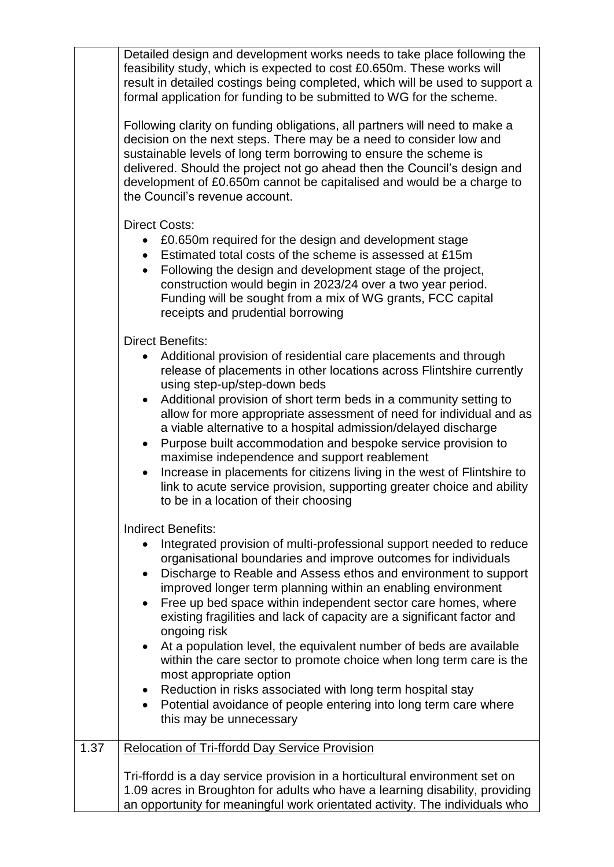Detailed design and development works needs to take place following the feasibility study, which is expected to cost £0.650m. These works will result in detailed costings being completed, which will be used to support a formal application for funding to be submitted to WG for the scheme.

Following clarity on funding obligations, all partners will need to make a decision on the next steps. There may be a need to consider low and sustainable levels of long term borrowing to ensure the scheme is delivered. Should the project not go ahead then the Council's design and development of £0.650m cannot be capitalised and would be a charge to the Council's revenue account.

Direct Costs:

- £0.650m required for the design and development stage
- Estimated total costs of the scheme is assessed at £15m
- Following the design and development stage of the project, construction would begin in 2023/24 over a two year period. Funding will be sought from a mix of WG grants, FCC capital receipts and prudential borrowing

Direct Benefits:

| • Additional provision of residential care placements and through    |
|----------------------------------------------------------------------|
| release of placements in other locations across Flintshire currently |
| using step-up/step-down beds                                         |

- Additional provision of short term beds in a community setting to allow for more appropriate assessment of need for individual and as a viable alternative to a hospital admission/delayed discharge
- Purpose built accommodation and bespoke service provision to maximise independence and support reablement
- Increase in placements for citizens living in the west of Flintshire to link to acute service provision, supporting greater choice and ability to be in a location of their choosing

Indirect Benefits:

|      | Integrated provision of multi-professional support needed to reduce<br>organisational boundaries and improve outcomes for individuals<br>Discharge to Reable and Assess ethos and environment to support<br>$\bullet$<br>improved longer term planning within an enabling environment<br>Free up bed space within independent sector care homes, where<br>$\bullet$<br>existing fragilities and lack of capacity are a significant factor and<br>ongoing risk<br>At a population level, the equivalent number of beds are available<br>$\bullet$<br>within the care sector to promote choice when long term care is the<br>most appropriate option<br>Reduction in risks associated with long term hospital stay<br>$\bullet$<br>Potential avoidance of people entering into long term care where<br>$\bullet$<br>this may be unnecessary |
|------|-------------------------------------------------------------------------------------------------------------------------------------------------------------------------------------------------------------------------------------------------------------------------------------------------------------------------------------------------------------------------------------------------------------------------------------------------------------------------------------------------------------------------------------------------------------------------------------------------------------------------------------------------------------------------------------------------------------------------------------------------------------------------------------------------------------------------------------------|
| 1.37 | <b>Relocation of Tri-ffordd Day Service Provision</b>                                                                                                                                                                                                                                                                                                                                                                                                                                                                                                                                                                                                                                                                                                                                                                                     |
|      | Tri-ffordd is a day service provision in a horticultural environment set on<br>1.09 acres in Broughton for adults who have a learning disability, providing<br>an opportunity for meaningful work orientated activity. The individuals who                                                                                                                                                                                                                                                                                                                                                                                                                                                                                                                                                                                                |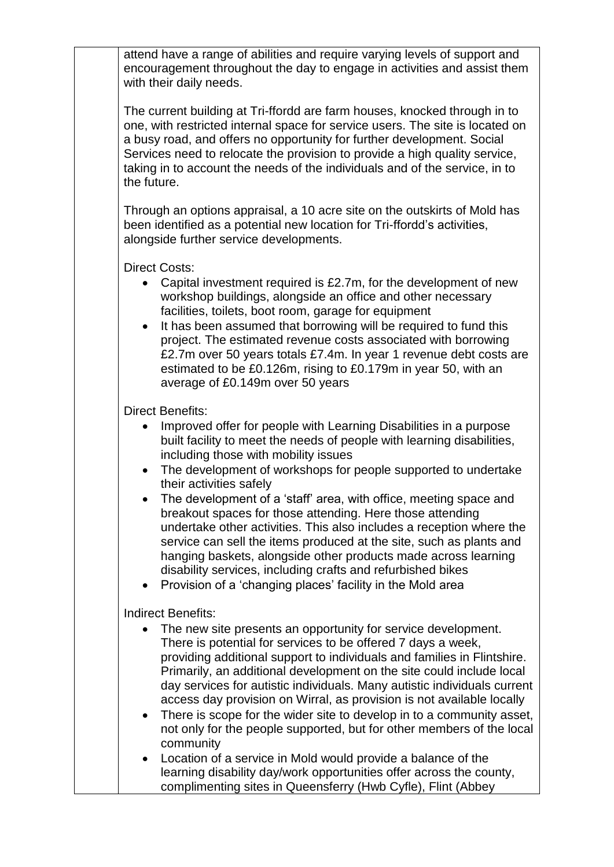attend have a range of abilities and require varying levels of support and encouragement throughout the day to engage in activities and assist them with their daily needs.

The current building at Tri-ffordd are farm houses, knocked through in to one, with restricted internal space for service users. The site is located on a busy road, and offers no opportunity for further development. Social Services need to relocate the provision to provide a high quality service, taking in to account the needs of the individuals and of the service, in to the future.

Through an options appraisal, a 10 acre site on the outskirts of Mold has been identified as a potential new location for Tri-ffordd's activities, alongside further service developments.

Direct Costs:

- Capital investment required is £2.7m, for the development of new workshop buildings, alongside an office and other necessary facilities, toilets, boot room, garage for equipment
- It has been assumed that borrowing will be required to fund this project. The estimated revenue costs associated with borrowing £2.7m over 50 years totals £7.4m. In year 1 revenue debt costs are estimated to be £0.126m, rising to £0.179m in year 50, with an average of £0.149m over 50 years

Direct Benefits:

- Improved offer for people with Learning Disabilities in a purpose built facility to meet the needs of people with learning disabilities, including those with mobility issues
- The development of workshops for people supported to undertake their activities safely
- The development of a 'staff' area, with office, meeting space and breakout spaces for those attending. Here those attending undertake other activities. This also includes a reception where the service can sell the items produced at the site, such as plants and hanging baskets, alongside other products made across learning disability services, including crafts and refurbished bikes
- Provision of a 'changing places' facility in the Mold area

Indirect Benefits:

- The new site presents an opportunity for service development. There is potential for services to be offered 7 days a week, providing additional support to individuals and families in Flintshire. Primarily, an additional development on the site could include local day services for autistic individuals. Many autistic individuals current access day provision on Wirral, as provision is not available locally
- There is scope for the wider site to develop in to a community asset, not only for the people supported, but for other members of the local community
- Location of a service in Mold would provide a balance of the learning disability day/work opportunities offer across the county, complimenting sites in Queensferry (Hwb Cyfle), Flint (Abbey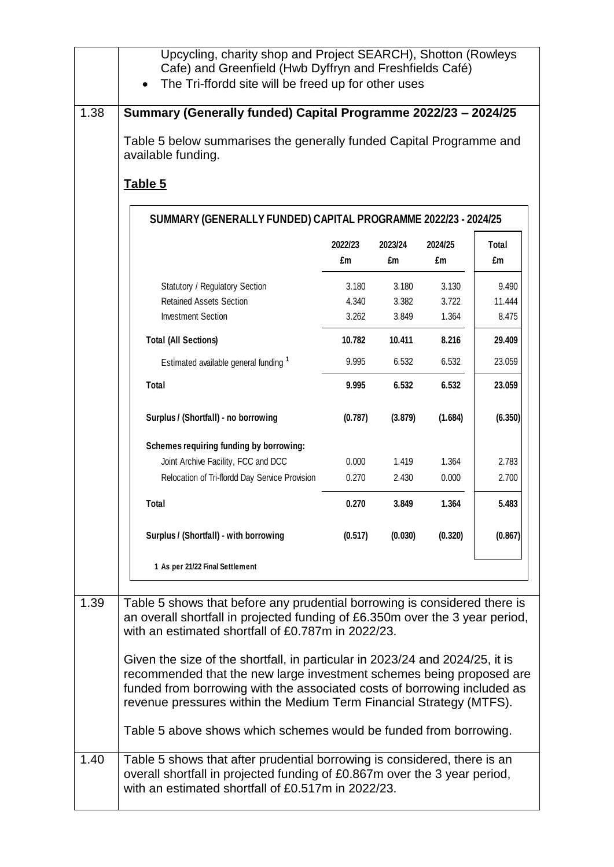|      | Upcycling, charity shop and Project SEARCH), Shotton (Rowleys<br>Cafe) and Greenfield (Hwb Dyffryn and Freshfields Café)<br>The Tri-ffordd site will be freed up for other uses                                                                                                                                                                                                                                                                                                                                            |                         |                         |                         |                          |
|------|----------------------------------------------------------------------------------------------------------------------------------------------------------------------------------------------------------------------------------------------------------------------------------------------------------------------------------------------------------------------------------------------------------------------------------------------------------------------------------------------------------------------------|-------------------------|-------------------------|-------------------------|--------------------------|
| 1.38 | Summary (Generally funded) Capital Programme 2022/23 - 2024/25<br>Table 5 below summarises the generally funded Capital Programme and<br>available funding.<br>Table 5                                                                                                                                                                                                                                                                                                                                                     |                         |                         |                         |                          |
|      | SUMMARY (GENERALLY FUNDED) CAPITAL PROGRAMME 2022/23 - 2024/25                                                                                                                                                                                                                                                                                                                                                                                                                                                             |                         |                         |                         |                          |
|      |                                                                                                                                                                                                                                                                                                                                                                                                                                                                                                                            | 2022/23<br>£m           | 2023/24<br>£m           | 2024/25<br>£m           | Total<br>£m              |
|      | Statutory / Regulatory Section<br><b>Retained Assets Section</b><br><b>Investment Section</b>                                                                                                                                                                                                                                                                                                                                                                                                                              | 3.180<br>4.340<br>3.262 | 3.180<br>3.382<br>3.849 | 3.130<br>3.722<br>1.364 | 9.490<br>11.444<br>8.475 |
|      | <b>Total (All Sections)</b>                                                                                                                                                                                                                                                                                                                                                                                                                                                                                                | 10.782                  | 10.411                  | 8.216                   | 29.409                   |
|      | Estimated available general funding 1                                                                                                                                                                                                                                                                                                                                                                                                                                                                                      | 9.995                   | 6.532                   | 6.532                   | 23.059                   |
|      | Total                                                                                                                                                                                                                                                                                                                                                                                                                                                                                                                      | 9.995                   | 6.532                   | 6.532                   | 23.059                   |
|      | Surplus / (Shortfall) - no borrowing                                                                                                                                                                                                                                                                                                                                                                                                                                                                                       | (0.787)                 | (3.879)                 | (1.684)                 | (6.350)                  |
|      | Schemes requiring funding by borrowing:                                                                                                                                                                                                                                                                                                                                                                                                                                                                                    |                         |                         |                         |                          |
|      | Joint Archive Facility, FCC and DCC<br>Relocation of Tri-ffordd Day Service Provision                                                                                                                                                                                                                                                                                                                                                                                                                                      | 0.000<br>0.270          | 1.419<br>2.430          | 1.364<br>0.000          | 2.783<br>2.700           |
|      | <b>Total</b>                                                                                                                                                                                                                                                                                                                                                                                                                                                                                                               | 0.270                   | 3.849                   | 1.364                   | 5.483                    |
|      | Surplus / (Shortfall) - with borrowing                                                                                                                                                                                                                                                                                                                                                                                                                                                                                     | (0.517)                 | (0.030)                 | (0.320)                 | (0.867)                  |
|      | 1 As per 21/22 Final Settlement                                                                                                                                                                                                                                                                                                                                                                                                                                                                                            |                         |                         |                         |                          |
| 1.39 | Table 5 shows that before any prudential borrowing is considered there is<br>an overall shortfall in projected funding of £6.350m over the 3 year period,<br>with an estimated shortfall of £0.787m in 2022/23.<br>Given the size of the shortfall, in particular in 2023/24 and 2024/25, it is<br>recommended that the new large investment schemes being proposed are<br>funded from borrowing with the associated costs of borrowing included as<br>revenue pressures within the Medium Term Financial Strategy (MTFS). |                         |                         |                         |                          |
|      | Table 5 above shows which schemes would be funded from borrowing.                                                                                                                                                                                                                                                                                                                                                                                                                                                          |                         |                         |                         |                          |
| 1.40 | Table 5 shows that after prudential borrowing is considered, there is an<br>overall shortfall in projected funding of £0.867m over the 3 year period,<br>with an estimated shortfall of £0.517m in 2022/23.                                                                                                                                                                                                                                                                                                                |                         |                         |                         |                          |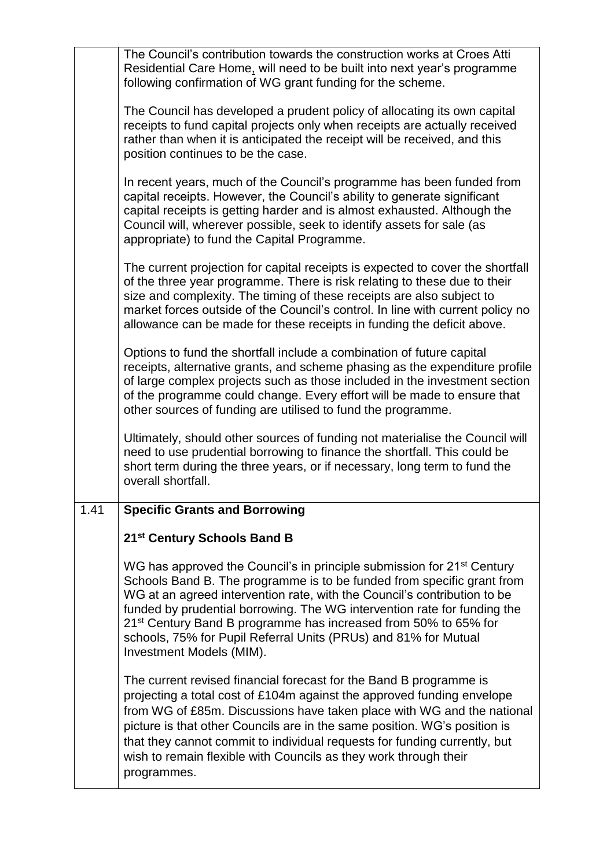|      | The Council's contribution towards the construction works at Croes Atti<br>Residential Care Home, will need to be built into next year's programme<br>following confirmation of WG grant funding for the scheme.                                                                                                                                                                                                                                                                                   |
|------|----------------------------------------------------------------------------------------------------------------------------------------------------------------------------------------------------------------------------------------------------------------------------------------------------------------------------------------------------------------------------------------------------------------------------------------------------------------------------------------------------|
|      | The Council has developed a prudent policy of allocating its own capital<br>receipts to fund capital projects only when receipts are actually received<br>rather than when it is anticipated the receipt will be received, and this<br>position continues to be the case.                                                                                                                                                                                                                          |
|      | In recent years, much of the Council's programme has been funded from<br>capital receipts. However, the Council's ability to generate significant<br>capital receipts is getting harder and is almost exhausted. Although the<br>Council will, wherever possible, seek to identify assets for sale (as<br>appropriate) to fund the Capital Programme.                                                                                                                                              |
|      | The current projection for capital receipts is expected to cover the shortfall<br>of the three year programme. There is risk relating to these due to their<br>size and complexity. The timing of these receipts are also subject to<br>market forces outside of the Council's control. In line with current policy no<br>allowance can be made for these receipts in funding the deficit above.                                                                                                   |
|      | Options to fund the shortfall include a combination of future capital<br>receipts, alternative grants, and scheme phasing as the expenditure profile<br>of large complex projects such as those included in the investment section<br>of the programme could change. Every effort will be made to ensure that<br>other sources of funding are utilised to fund the programme.                                                                                                                      |
|      | Ultimately, should other sources of funding not materialise the Council will<br>need to use prudential borrowing to finance the shortfall. This could be<br>short term during the three years, or if necessary, long term to fund the<br>overall shortfall.                                                                                                                                                                                                                                        |
| 1.41 | <b>Specific Grants and Borrowing</b>                                                                                                                                                                                                                                                                                                                                                                                                                                                               |
|      | 21st Century Schools Band B                                                                                                                                                                                                                                                                                                                                                                                                                                                                        |
|      | WG has approved the Council's in principle submission for 21 <sup>st</sup> Century<br>Schools Band B. The programme is to be funded from specific grant from<br>WG at an agreed intervention rate, with the Council's contribution to be<br>funded by prudential borrowing. The WG intervention rate for funding the<br>21 <sup>st</sup> Century Band B programme has increased from 50% to 65% for<br>schools, 75% for Pupil Referral Units (PRUs) and 81% for Mutual<br>Investment Models (MIM). |
|      | The current revised financial forecast for the Band B programme is<br>projecting a total cost of £104m against the approved funding envelope<br>from WG of £85m. Discussions have taken place with WG and the national<br>picture is that other Councils are in the same position. WG's position is<br>that they cannot commit to individual requests for funding currently, but<br>wish to remain flexible with Councils as they work through their<br>programmes.                                |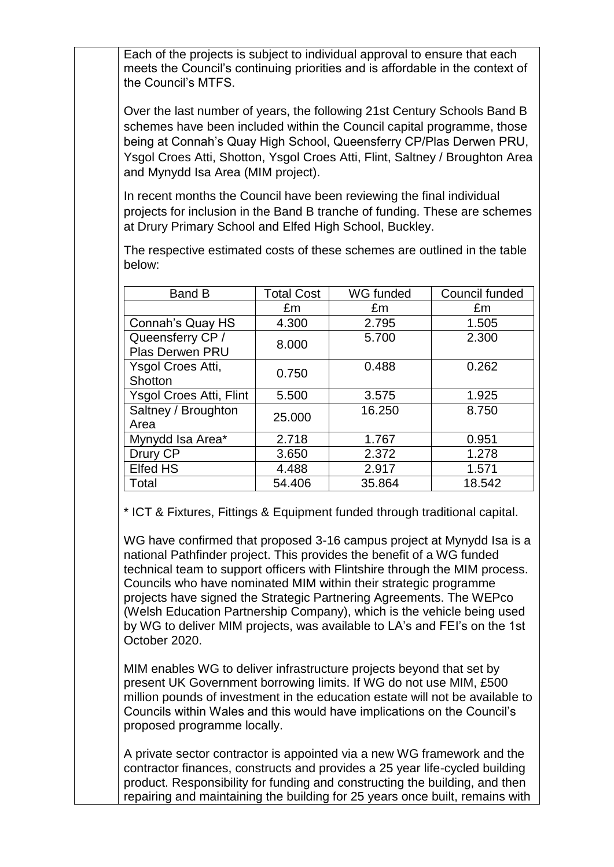Each of the projects is subject to individual approval to ensure that each meets the Council's continuing priorities and is affordable in the context of the Council's MTFS.

Over the last number of years, the following 21st Century Schools Band B schemes have been included within the Council capital programme, those being at Connah's Quay High School, Queensferry CP/Plas Derwen PRU, Ysgol Croes Atti, Shotton, Ysgol Croes Atti, Flint, Saltney / Broughton Area and Mynydd Isa Area (MIM project).

In recent months the Council have been reviewing the final individual projects for inclusion in the Band B tranche of funding. These are schemes at Drury Primary School and Elfed High School, Buckley.

The respective estimated costs of these schemes are outlined in the table below:

| <b>Band B</b>                       | <b>Total Cost</b> | WG funded | Council funded |
|-------------------------------------|-------------------|-----------|----------------|
|                                     | £m                | £m        | £m             |
| Connah's Quay HS                    | 4.300             | 2.795     | 1.505          |
| Queensferry CP /<br>Plas Derwen PRU | 8.000             | 5.700     | 2.300          |
| Ysgol Croes Atti,<br>Shotton        | 0.750             | 0.488     | 0.262          |
| <b>Ysgol Croes Atti, Flint</b>      | 5.500             | 3.575     | 1.925          |
| Saltney / Broughton<br>Area         | 25,000            | 16.250    | 8.750          |
| Mynydd Isa Area*                    | 2.718             | 1.767     | 0.951          |
| Drury CP                            | 3.650             | 2.372     | 1.278          |
| <b>Elfed HS</b>                     | 4.488             | 2.917     | 1.571          |
| Total                               | 54.406            | 35.864    | 18.542         |

\* ICT & Fixtures, Fittings & Equipment funded through traditional capital.

WG have confirmed that proposed 3-16 campus project at Mynydd Isa is a national Pathfinder project. This provides the benefit of a WG funded technical team to support officers with Flintshire through the MIM process. Councils who have nominated MIM within their strategic programme projects have signed the Strategic Partnering Agreements. The WEPco (Welsh Education Partnership Company), which is the vehicle being used by WG to deliver MIM projects, was available to LA's and FEI's on the 1st October 2020.

MIM enables WG to deliver infrastructure projects beyond that set by present UK Government borrowing limits. If WG do not use MIM, £500 million pounds of investment in the education estate will not be available to Councils within Wales and this would have implications on the Council's proposed programme locally.

A private sector contractor is appointed via a new WG framework and the contractor finances, constructs and provides a 25 year life-cycled building product. Responsibility for funding and constructing the building, and then repairing and maintaining the building for 25 years once built, remains with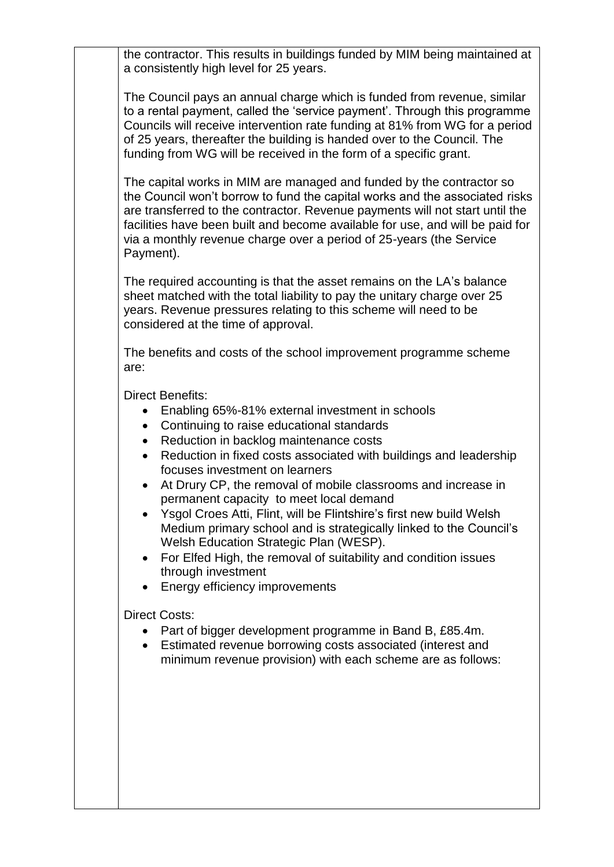the contractor. This results in buildings funded by MIM being maintained at a consistently high level for 25 years.

The Council pays an annual charge which is funded from revenue, similar to a rental payment, called the 'service payment'. Through this programme Councils will receive intervention rate funding at 81% from WG for a period of 25 years, thereafter the building is handed over to the Council. The funding from WG will be received in the form of a specific grant.

The capital works in MIM are managed and funded by the contractor so the Council won't borrow to fund the capital works and the associated risks are transferred to the contractor. Revenue payments will not start until the facilities have been built and become available for use, and will be paid for via a monthly revenue charge over a period of 25-years (the Service Payment).

The required accounting is that the asset remains on the LA's balance sheet matched with the total liability to pay the unitary charge over 25 years. Revenue pressures relating to this scheme will need to be considered at the time of approval.

The benefits and costs of the school improvement programme scheme are:

Direct Benefits:

- Enabling 65%-81% external investment in schools
- Continuing to raise educational standards
- Reduction in backlog maintenance costs
- Reduction in fixed costs associated with buildings and leadership focuses investment on learners
- At Drury CP, the removal of mobile classrooms and increase in permanent capacity to meet local demand
- Ysgol Croes Atti, Flint, will be Flintshire's first new build Welsh Medium primary school and is strategically linked to the Council's Welsh Education Strategic Plan (WESP).
- For Elfed High, the removal of suitability and condition issues through investment
- Energy efficiency improvements

Direct Costs:

- Part of bigger development programme in Band B, £85.4m.
- Estimated revenue borrowing costs associated (interest and minimum revenue provision) with each scheme are as follows: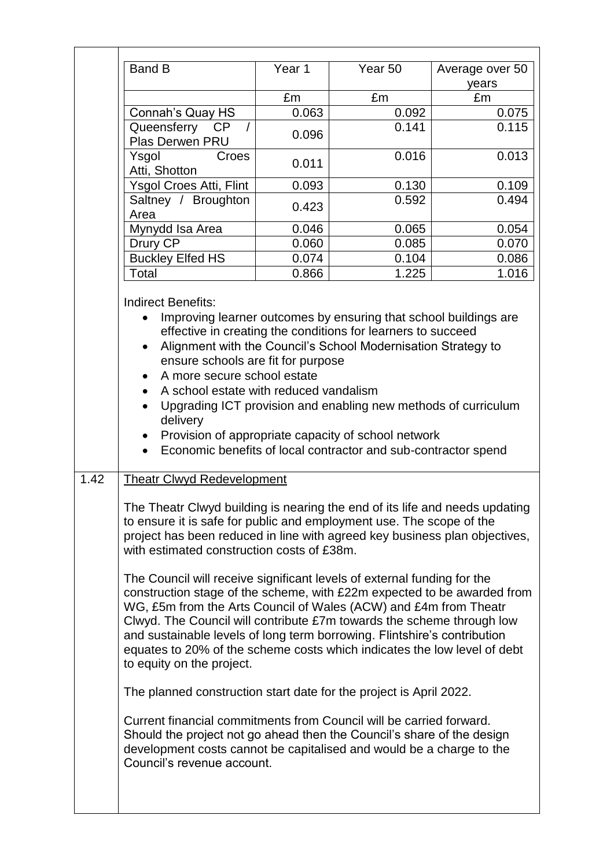|      | <b>Band B</b>                                                                                                                                                                                                                                                                                                                                                                                                                                                                                                                                                                                                                                                                                                                                                                                                                                                                                                                                                                                                                                                                                                                             | Year 1 | Year 50 | Average over 50 |  |  |
|------|-------------------------------------------------------------------------------------------------------------------------------------------------------------------------------------------------------------------------------------------------------------------------------------------------------------------------------------------------------------------------------------------------------------------------------------------------------------------------------------------------------------------------------------------------------------------------------------------------------------------------------------------------------------------------------------------------------------------------------------------------------------------------------------------------------------------------------------------------------------------------------------------------------------------------------------------------------------------------------------------------------------------------------------------------------------------------------------------------------------------------------------------|--------|---------|-----------------|--|--|
|      |                                                                                                                                                                                                                                                                                                                                                                                                                                                                                                                                                                                                                                                                                                                                                                                                                                                                                                                                                                                                                                                                                                                                           | £m     | £m      | years<br>£m     |  |  |
|      | Connah's Quay HS                                                                                                                                                                                                                                                                                                                                                                                                                                                                                                                                                                                                                                                                                                                                                                                                                                                                                                                                                                                                                                                                                                                          | 0.063  | 0.092   | 0.075           |  |  |
|      | Queensferry<br>CP                                                                                                                                                                                                                                                                                                                                                                                                                                                                                                                                                                                                                                                                                                                                                                                                                                                                                                                                                                                                                                                                                                                         |        | 0.141   | 0.115           |  |  |
|      | Plas Derwen PRU                                                                                                                                                                                                                                                                                                                                                                                                                                                                                                                                                                                                                                                                                                                                                                                                                                                                                                                                                                                                                                                                                                                           | 0.096  |         |                 |  |  |
|      | Ysgol<br>Croes<br>Atti, Shotton                                                                                                                                                                                                                                                                                                                                                                                                                                                                                                                                                                                                                                                                                                                                                                                                                                                                                                                                                                                                                                                                                                           | 0.011  | 0.016   | 0.013           |  |  |
|      | Ysgol Croes Atti, Flint                                                                                                                                                                                                                                                                                                                                                                                                                                                                                                                                                                                                                                                                                                                                                                                                                                                                                                                                                                                                                                                                                                                   | 0.093  | 0.130   | 0.109           |  |  |
|      | Saltney / Broughton<br>Area                                                                                                                                                                                                                                                                                                                                                                                                                                                                                                                                                                                                                                                                                                                                                                                                                                                                                                                                                                                                                                                                                                               | 0.423  | 0.592   | 0.494           |  |  |
|      | Mynydd Isa Area                                                                                                                                                                                                                                                                                                                                                                                                                                                                                                                                                                                                                                                                                                                                                                                                                                                                                                                                                                                                                                                                                                                           | 0.046  | 0.065   | 0.054           |  |  |
|      | Drury CP                                                                                                                                                                                                                                                                                                                                                                                                                                                                                                                                                                                                                                                                                                                                                                                                                                                                                                                                                                                                                                                                                                                                  | 0.060  | 0.085   | 0.070           |  |  |
|      | <b>Buckley Elfed HS</b>                                                                                                                                                                                                                                                                                                                                                                                                                                                                                                                                                                                                                                                                                                                                                                                                                                                                                                                                                                                                                                                                                                                   | 0.074  | 0.104   | 0.086           |  |  |
|      | Total                                                                                                                                                                                                                                                                                                                                                                                                                                                                                                                                                                                                                                                                                                                                                                                                                                                                                                                                                                                                                                                                                                                                     | 0.866  | 1.225   | 1.016           |  |  |
|      |                                                                                                                                                                                                                                                                                                                                                                                                                                                                                                                                                                                                                                                                                                                                                                                                                                                                                                                                                                                                                                                                                                                                           |        |         |                 |  |  |
|      | Improving learner outcomes by ensuring that school buildings are<br>effective in creating the conditions for learners to succeed<br>Alignment with the Council's School Modernisation Strategy to<br>ensure schools are fit for purpose<br>A more secure school estate<br>A school estate with reduced vandalism<br>Upgrading ICT provision and enabling new methods of curriculum<br>$\bullet$<br>delivery<br>Provision of appropriate capacity of school network<br>$\bullet$<br>Economic benefits of local contractor and sub-contractor spend                                                                                                                                                                                                                                                                                                                                                                                                                                                                                                                                                                                         |        |         |                 |  |  |
| 1.42 | <b>Theatr Clwyd Redevelopment</b><br>The Theatr Clwyd building is nearing the end of its life and needs updating<br>to ensure it is safe for public and employment use. The scope of the<br>project has been reduced in line with agreed key business plan objectives,<br>with estimated construction costs of £38m.<br>The Council will receive significant levels of external funding for the<br>construction stage of the scheme, with £22m expected to be awarded from<br>WG, £5m from the Arts Council of Wales (ACW) and £4m from Theatr<br>Clwyd. The Council will contribute £7m towards the scheme through low<br>and sustainable levels of long term borrowing. Flintshire's contribution<br>equates to 20% of the scheme costs which indicates the low level of debt<br>to equity on the project.<br>The planned construction start date for the project is April 2022.<br>Current financial commitments from Council will be carried forward.<br>Should the project not go ahead then the Council's share of the design<br>development costs cannot be capitalised and would be a charge to the<br>Council's revenue account. |        |         |                 |  |  |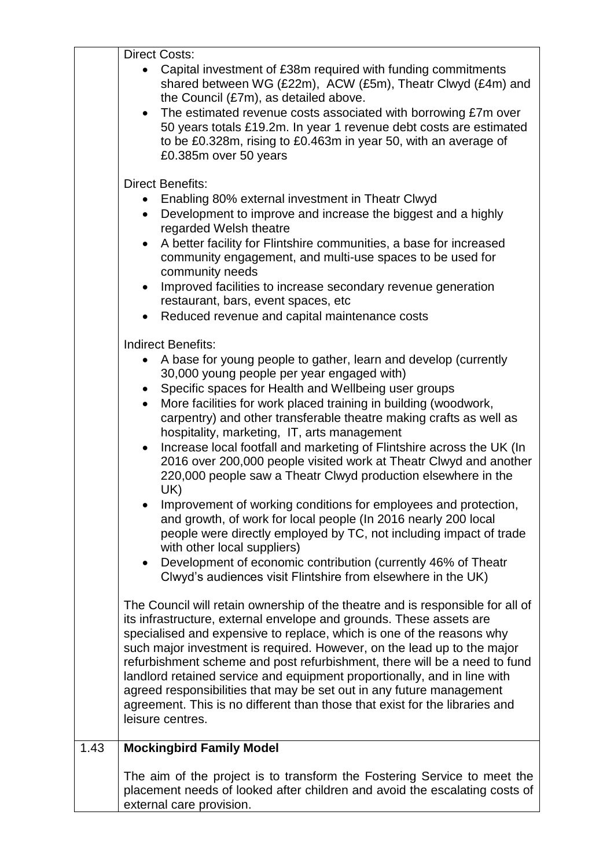|      | <b>Direct Costs:</b>                                                                                                                                                                                                                                                                                                                                                                                                                                                                                                                                                                                                                                                                                                                                                                                                                                                                                                                                                                                                               |
|------|------------------------------------------------------------------------------------------------------------------------------------------------------------------------------------------------------------------------------------------------------------------------------------------------------------------------------------------------------------------------------------------------------------------------------------------------------------------------------------------------------------------------------------------------------------------------------------------------------------------------------------------------------------------------------------------------------------------------------------------------------------------------------------------------------------------------------------------------------------------------------------------------------------------------------------------------------------------------------------------------------------------------------------|
|      | Capital investment of £38m required with funding commitments<br>shared between WG (£22m), ACW (£5m), Theatr Clwyd (£4m) and<br>the Council (£7m), as detailed above.<br>• The estimated revenue costs associated with borrowing £7m over<br>50 years totals £19.2m. In year 1 revenue debt costs are estimated<br>to be £0.328m, rising to £0.463m in year 50, with an average of<br>£0.385m over 50 years                                                                                                                                                                                                                                                                                                                                                                                                                                                                                                                                                                                                                         |
|      | <b>Direct Benefits:</b><br>Enabling 80% external investment in Theatr Clwyd<br>Development to improve and increase the biggest and a highly<br>$\bullet$<br>regarded Welsh theatre<br>A better facility for Flintshire communities, a base for increased<br>$\bullet$<br>community engagement, and multi-use spaces to be used for<br>community needs<br>Improved facilities to increase secondary revenue generation<br>restaurant, bars, event spaces, etc<br>Reduced revenue and capital maintenance costs                                                                                                                                                                                                                                                                                                                                                                                                                                                                                                                      |
|      | <b>Indirect Benefits:</b><br>A base for young people to gather, learn and develop (currently<br>30,000 young people per year engaged with)<br>Specific spaces for Health and Wellbeing user groups<br>$\bullet$<br>More facilities for work placed training in building (woodwork,<br>$\bullet$<br>carpentry) and other transferable theatre making crafts as well as<br>hospitality, marketing, IT, arts management<br>Increase local footfall and marketing of Flintshire across the UK (In<br>2016 over 200,000 people visited work at Theatr Clwyd and another<br>220,000 people saw a Theatr Clwyd production elsewhere in the<br>UK)<br>Improvement of working conditions for employees and protection,<br>and growth, of work for local people (In 2016 nearly 200 local<br>people were directly employed by TC, not including impact of trade<br>with other local suppliers)<br>Development of economic contribution (currently 46% of Theatr<br>$\bullet$<br>Clwyd's audiences visit Flintshire from elsewhere in the UK) |
|      | The Council will retain ownership of the theatre and is responsible for all of<br>its infrastructure, external envelope and grounds. These assets are<br>specialised and expensive to replace, which is one of the reasons why<br>such major investment is required. However, on the lead up to the major<br>refurbishment scheme and post refurbishment, there will be a need to fund<br>landlord retained service and equipment proportionally, and in line with<br>agreed responsibilities that may be set out in any future management<br>agreement. This is no different than those that exist for the libraries and<br>leisure centres.                                                                                                                                                                                                                                                                                                                                                                                      |
| 1.43 | <b>Mockingbird Family Model</b>                                                                                                                                                                                                                                                                                                                                                                                                                                                                                                                                                                                                                                                                                                                                                                                                                                                                                                                                                                                                    |
|      | The aim of the project is to transform the Fostering Service to meet the<br>placement needs of looked after children and avoid the escalating costs of<br>external care provision.                                                                                                                                                                                                                                                                                                                                                                                                                                                                                                                                                                                                                                                                                                                                                                                                                                                 |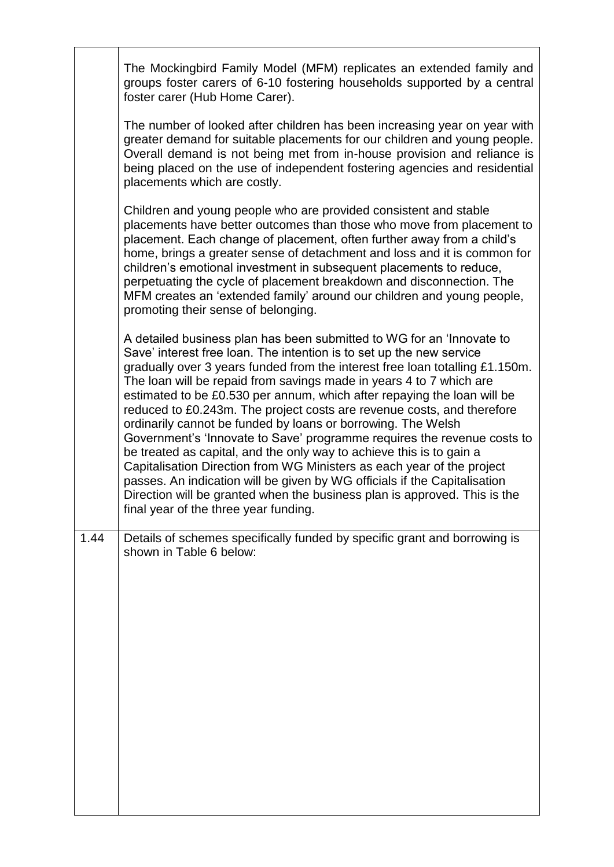|      | The Mockingbird Family Model (MFM) replicates an extended family and<br>groups foster carers of 6-10 fostering households supported by a central<br>foster carer (Hub Home Carer).                                                                                                                                                                                                                                                                                                                                                                                                                                                                                                                                                                                                                                                                                                                                                                        |
|------|-----------------------------------------------------------------------------------------------------------------------------------------------------------------------------------------------------------------------------------------------------------------------------------------------------------------------------------------------------------------------------------------------------------------------------------------------------------------------------------------------------------------------------------------------------------------------------------------------------------------------------------------------------------------------------------------------------------------------------------------------------------------------------------------------------------------------------------------------------------------------------------------------------------------------------------------------------------|
|      | The number of looked after children has been increasing year on year with<br>greater demand for suitable placements for our children and young people.<br>Overall demand is not being met from in-house provision and reliance is<br>being placed on the use of independent fostering agencies and residential<br>placements which are costly.                                                                                                                                                                                                                                                                                                                                                                                                                                                                                                                                                                                                            |
|      | Children and young people who are provided consistent and stable<br>placements have better outcomes than those who move from placement to<br>placement. Each change of placement, often further away from a child's<br>home, brings a greater sense of detachment and loss and it is common for<br>children's emotional investment in subsequent placements to reduce,<br>perpetuating the cycle of placement breakdown and disconnection. The<br>MFM creates an 'extended family' around our children and young people,<br>promoting their sense of belonging.                                                                                                                                                                                                                                                                                                                                                                                           |
|      | A detailed business plan has been submitted to WG for an 'Innovate to<br>Save' interest free loan. The intention is to set up the new service<br>gradually over 3 years funded from the interest free loan totalling £1.150m.<br>The loan will be repaid from savings made in years 4 to 7 which are<br>estimated to be £0.530 per annum, which after repaying the loan will be<br>reduced to £0.243m. The project costs are revenue costs, and therefore<br>ordinarily cannot be funded by loans or borrowing. The Welsh<br>Government's 'Innovate to Save' programme requires the revenue costs to<br>be treated as capital, and the only way to achieve this is to gain a<br>Capitalisation Direction from WG Ministers as each year of the project<br>passes. An indication will be given by WG officials if the Capitalisation<br>Direction will be granted when the business plan is approved. This is the<br>final year of the three year funding. |
| 1.44 | Details of schemes specifically funded by specific grant and borrowing is<br>shown in Table 6 below:                                                                                                                                                                                                                                                                                                                                                                                                                                                                                                                                                                                                                                                                                                                                                                                                                                                      |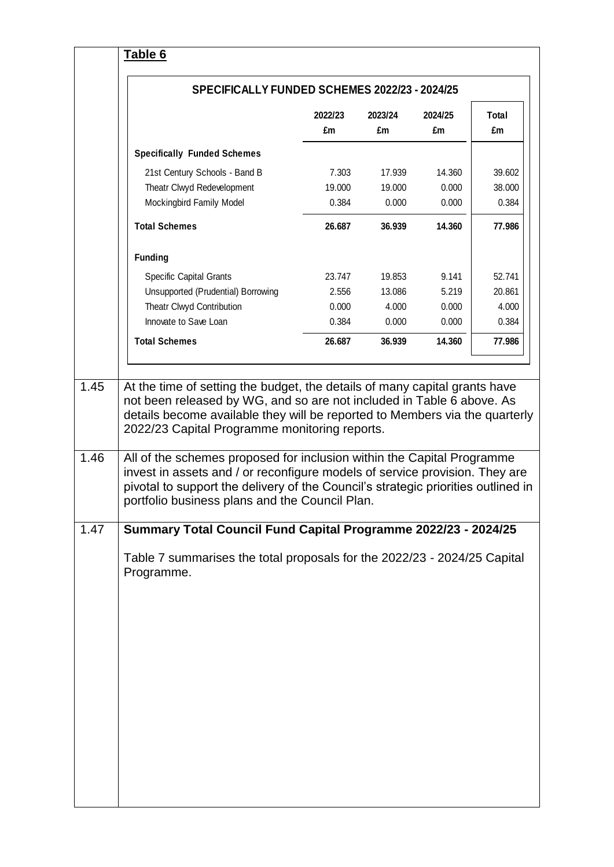| £m<br>£m<br>£m<br><b>Specifically Funded Schemes</b><br>21st Century Schools - Band B<br>7.303<br>14.360<br>17.939<br>Theatr Clwyd Redevelopment<br>19.000<br>19.000<br>0.000<br>Mockingbird Family Model<br>0.384<br>0.000<br>0.000<br><b>Total Schemes</b><br>26.687<br>14.360<br>36.939<br><b>Funding</b><br>23.747<br>9.141<br><b>Specific Capital Grants</b><br>19.853<br>Unsupported (Prudential) Borrowing<br>13.086<br>5.219<br>2.556<br>Theatr Clwyd Contribution<br>0.000<br>4.000<br>0.000<br>Innovate to Save Loan<br>0.384<br>0.000<br>0.000<br>26.687<br><b>Total Schemes</b><br>36.939<br>14.360<br>1.45<br>2022/23 Capital Programme monitoring reports.<br>1.46<br>portfolio business plans and the Council Plan.<br>1.47 | £m<br>Programme. | 39.602<br>At the time of setting the budget, the details of many capital grants have<br>not been released by WG, and so are not included in Table 6 above. As<br>details become available they will be reported to Members via the quarterly<br>All of the schemes proposed for inclusion within the Capital Programme<br>invest in assets and / or reconfigure models of service provision. They are<br>pivotal to support the delivery of the Council's strategic priorities outlined in<br>Summary Total Council Fund Capital Programme 2022/23 - 2024/25<br>Table 7 summarises the total proposals for the 2022/23 - 2024/25 Capital |  |         |         |         |              |
|--------------------------------------------------------------------------------------------------------------------------------------------------------------------------------------------------------------------------------------------------------------------------------------------------------------------------------------------------------------------------------------------------------------------------------------------------------------------------------------------------------------------------------------------------------------------------------------------------------------------------------------------------------------------------------------------------------------------------------------------|------------------|------------------------------------------------------------------------------------------------------------------------------------------------------------------------------------------------------------------------------------------------------------------------------------------------------------------------------------------------------------------------------------------------------------------------------------------------------------------------------------------------------------------------------------------------------------------------------------------------------------------------------------------|--|---------|---------|---------|--------------|
|                                                                                                                                                                                                                                                                                                                                                                                                                                                                                                                                                                                                                                                                                                                                            |                  |                                                                                                                                                                                                                                                                                                                                                                                                                                                                                                                                                                                                                                          |  | 2022/23 | 2023/24 | 2024/25 | <b>Total</b> |
|                                                                                                                                                                                                                                                                                                                                                                                                                                                                                                                                                                                                                                                                                                                                            |                  |                                                                                                                                                                                                                                                                                                                                                                                                                                                                                                                                                                                                                                          |  |         |         |         |              |
|                                                                                                                                                                                                                                                                                                                                                                                                                                                                                                                                                                                                                                                                                                                                            |                  |                                                                                                                                                                                                                                                                                                                                                                                                                                                                                                                                                                                                                                          |  |         |         |         |              |
|                                                                                                                                                                                                                                                                                                                                                                                                                                                                                                                                                                                                                                                                                                                                            |                  |                                                                                                                                                                                                                                                                                                                                                                                                                                                                                                                                                                                                                                          |  |         |         |         | 38.000       |
|                                                                                                                                                                                                                                                                                                                                                                                                                                                                                                                                                                                                                                                                                                                                            |                  |                                                                                                                                                                                                                                                                                                                                                                                                                                                                                                                                                                                                                                          |  |         |         |         | 0.384        |
|                                                                                                                                                                                                                                                                                                                                                                                                                                                                                                                                                                                                                                                                                                                                            |                  |                                                                                                                                                                                                                                                                                                                                                                                                                                                                                                                                                                                                                                          |  |         |         |         | 77.986       |
|                                                                                                                                                                                                                                                                                                                                                                                                                                                                                                                                                                                                                                                                                                                                            |                  |                                                                                                                                                                                                                                                                                                                                                                                                                                                                                                                                                                                                                                          |  |         |         |         |              |
|                                                                                                                                                                                                                                                                                                                                                                                                                                                                                                                                                                                                                                                                                                                                            |                  |                                                                                                                                                                                                                                                                                                                                                                                                                                                                                                                                                                                                                                          |  |         |         |         | 52.741       |
|                                                                                                                                                                                                                                                                                                                                                                                                                                                                                                                                                                                                                                                                                                                                            |                  |                                                                                                                                                                                                                                                                                                                                                                                                                                                                                                                                                                                                                                          |  |         |         |         | 20.861       |
|                                                                                                                                                                                                                                                                                                                                                                                                                                                                                                                                                                                                                                                                                                                                            |                  |                                                                                                                                                                                                                                                                                                                                                                                                                                                                                                                                                                                                                                          |  |         |         |         | 4.000        |
|                                                                                                                                                                                                                                                                                                                                                                                                                                                                                                                                                                                                                                                                                                                                            |                  |                                                                                                                                                                                                                                                                                                                                                                                                                                                                                                                                                                                                                                          |  |         |         |         | 0.384        |
|                                                                                                                                                                                                                                                                                                                                                                                                                                                                                                                                                                                                                                                                                                                                            |                  |                                                                                                                                                                                                                                                                                                                                                                                                                                                                                                                                                                                                                                          |  |         |         |         | 77.986       |
|                                                                                                                                                                                                                                                                                                                                                                                                                                                                                                                                                                                                                                                                                                                                            |                  |                                                                                                                                                                                                                                                                                                                                                                                                                                                                                                                                                                                                                                          |  |         |         |         |              |
|                                                                                                                                                                                                                                                                                                                                                                                                                                                                                                                                                                                                                                                                                                                                            |                  |                                                                                                                                                                                                                                                                                                                                                                                                                                                                                                                                                                                                                                          |  |         |         |         |              |
|                                                                                                                                                                                                                                                                                                                                                                                                                                                                                                                                                                                                                                                                                                                                            |                  |                                                                                                                                                                                                                                                                                                                                                                                                                                                                                                                                                                                                                                          |  |         |         |         |              |
|                                                                                                                                                                                                                                                                                                                                                                                                                                                                                                                                                                                                                                                                                                                                            |                  |                                                                                                                                                                                                                                                                                                                                                                                                                                                                                                                                                                                                                                          |  |         |         |         |              |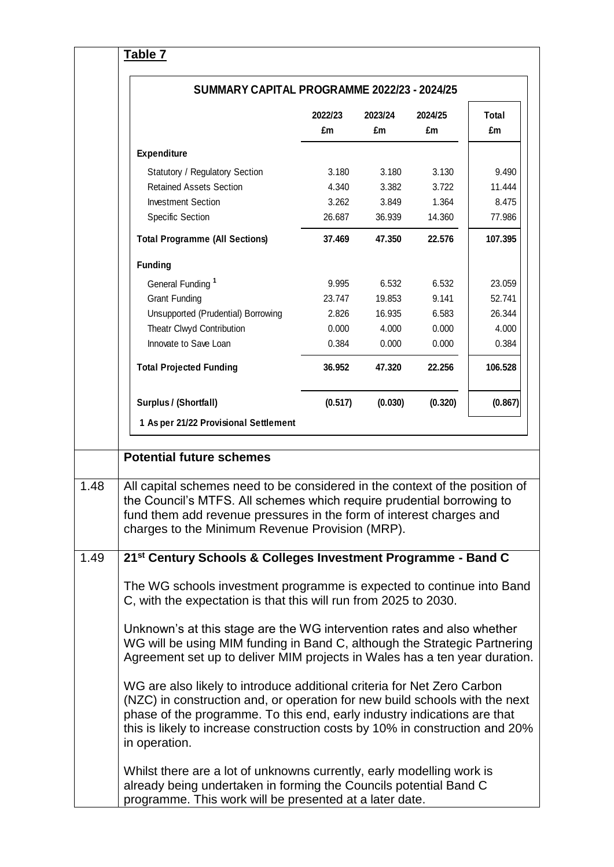| SUMMARY CAPITAL PROGRAMME 2022/23 - 2024/25                                                                                  |         |         |         |         |
|------------------------------------------------------------------------------------------------------------------------------|---------|---------|---------|---------|
|                                                                                                                              | 2022/23 | 2023/24 | 2024/25 | Total   |
|                                                                                                                              | £m      | £m      | £m      | £m      |
| Expenditure                                                                                                                  |         |         |         |         |
| Statutory / Regulatory Section                                                                                               | 3.180   | 3.180   | 3.130   | 9.490   |
| <b>Retained Assets Section</b>                                                                                               | 4.340   | 3.382   | 3.722   | 11.444  |
| <b>Investment Section</b>                                                                                                    | 3.262   | 3.849   | 1.364   | 8.475   |
| <b>Specific Section</b>                                                                                                      | 26.687  | 36.939  | 14.360  | 77.986  |
| <b>Total Programme (All Sections)</b>                                                                                        | 37.469  | 47.350  | 22.576  | 107.395 |
| <b>Funding</b>                                                                                                               |         |         |         |         |
| General Funding <sup>1</sup>                                                                                                 | 9.995   | 6.532   | 6.532   | 23.059  |
| <b>Grant Funding</b>                                                                                                         | 23.747  | 19.853  | 9.141   | 52.741  |
| Unsupported (Prudential) Borrowing                                                                                           | 2.826   | 16.935  | 6.583   | 26.344  |
| Theatr Clwyd Contribution                                                                                                    | 0.000   | 4.000   | 0.000   | 4.000   |
| Innovate to Save Loan                                                                                                        | 0.384   | 0.000   | 0.000   | 0.384   |
| <b>Total Projected Funding</b>                                                                                               | 36.952  | 47.320  | 22.256  | 106.528 |
| Surplus / (Shortfall)                                                                                                        | (0.517) | (0.030) | (0.320) | (0.867) |
| 1 As per 21/22 Provisional Settlement                                                                                        |         |         |         |         |
|                                                                                                                              |         |         |         |         |
| <b>Potential future schemes</b>                                                                                              |         |         |         |         |
| All capital schemes need to be considered in the context of the position of                                                  |         |         |         |         |
| the Council's MTFS. All schemes which require prudential borrowing to                                                        |         |         |         |         |
| fund them add revenue pressures in the form of interest charges and                                                          |         |         |         |         |
| charges to the Minimum Revenue Provision (MRP).                                                                              |         |         |         |         |
| 21 <sup>st</sup> Century Schools & Colleges Investment Programme - Band C                                                    |         |         |         |         |
| The WG schools investment programme is expected to continue into Band                                                        |         |         |         |         |
| C, with the expectation is that this will run from 2025 to 2030.                                                             |         |         |         |         |
|                                                                                                                              |         |         |         |         |
|                                                                                                                              |         |         |         |         |
| Unknown's at this stage are the WG intervention rates and also whether                                                       |         |         |         |         |
| WG will be using MIM funding in Band C, although the Strategic Partnering                                                    |         |         |         |         |
| Agreement set up to deliver MIM projects in Wales has a ten year duration.                                                   |         |         |         |         |
| WG are also likely to introduce additional criteria for Net Zero Carbon                                                      |         |         |         |         |
| (NZC) in construction and, or operation for new build schools with the next                                                  |         |         |         |         |
| phase of the programme. To this end, early industry indications are that                                                     |         |         |         |         |
| this is likely to increase construction costs by 10% in construction and 20%<br>in operation.                                |         |         |         |         |
| Whilst there are a lot of unknowns currently, early modelling work is                                                        |         |         |         |         |
| already being undertaken in forming the Councils potential Band C<br>programme. This work will be presented at a later date. |         |         |         |         |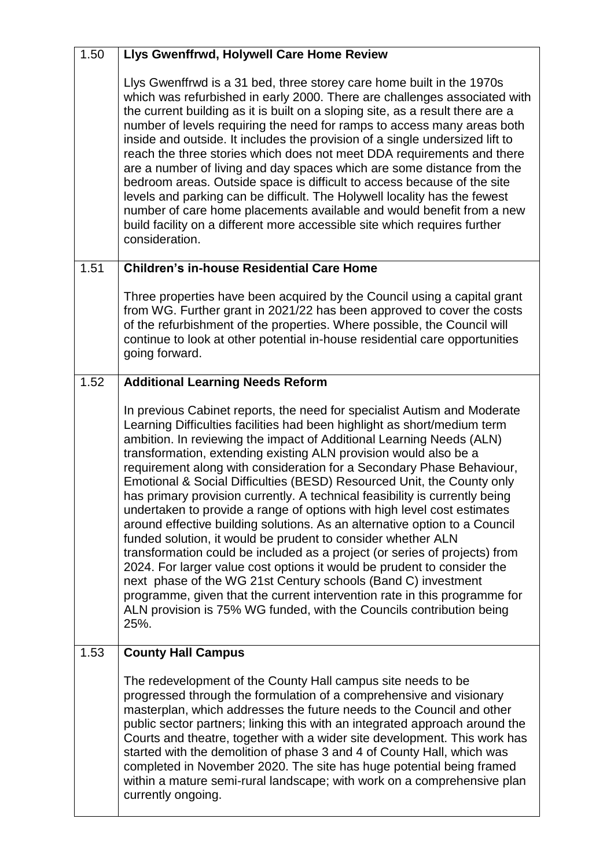| 1.50 | Llys Gwenffrwd, Holywell Care Home Review                                                                                                                                                                                                                                                                                                                                                                                                                                                                                                                                                                                                                                                                                                                                                                                                                                                                                                                                                                                                                                                                                                          |
|------|----------------------------------------------------------------------------------------------------------------------------------------------------------------------------------------------------------------------------------------------------------------------------------------------------------------------------------------------------------------------------------------------------------------------------------------------------------------------------------------------------------------------------------------------------------------------------------------------------------------------------------------------------------------------------------------------------------------------------------------------------------------------------------------------------------------------------------------------------------------------------------------------------------------------------------------------------------------------------------------------------------------------------------------------------------------------------------------------------------------------------------------------------|
|      | Llys Gwenffrwd is a 31 bed, three storey care home built in the 1970s<br>which was refurbished in early 2000. There are challenges associated with<br>the current building as it is built on a sloping site, as a result there are a<br>number of levels requiring the need for ramps to access many areas both<br>inside and outside. It includes the provision of a single undersized lift to<br>reach the three stories which does not meet DDA requirements and there<br>are a number of living and day spaces which are some distance from the<br>bedroom areas. Outside space is difficult to access because of the site<br>levels and parking can be difficult. The Holywell locality has the fewest<br>number of care home placements available and would benefit from a new<br>build facility on a different more accessible site which requires further<br>consideration.                                                                                                                                                                                                                                                                |
| 1.51 | <b>Children's in-house Residential Care Home</b>                                                                                                                                                                                                                                                                                                                                                                                                                                                                                                                                                                                                                                                                                                                                                                                                                                                                                                                                                                                                                                                                                                   |
|      | Three properties have been acquired by the Council using a capital grant<br>from WG. Further grant in 2021/22 has been approved to cover the costs<br>of the refurbishment of the properties. Where possible, the Council will<br>continue to look at other potential in-house residential care opportunities<br>going forward.                                                                                                                                                                                                                                                                                                                                                                                                                                                                                                                                                                                                                                                                                                                                                                                                                    |
| 1.52 | <b>Additional Learning Needs Reform</b>                                                                                                                                                                                                                                                                                                                                                                                                                                                                                                                                                                                                                                                                                                                                                                                                                                                                                                                                                                                                                                                                                                            |
|      | In previous Cabinet reports, the need for specialist Autism and Moderate<br>Learning Difficulties facilities had been highlight as short/medium term<br>ambition. In reviewing the impact of Additional Learning Needs (ALN)<br>transformation, extending existing ALN provision would also be a<br>requirement along with consideration for a Secondary Phase Behaviour,<br>Emotional & Social Difficulties (BESD) Resourced Unit, the County only<br>has primary provision currently. A technical feasibility is currently being<br>undertaken to provide a range of options with high level cost estimates<br>around effective building solutions. As an alternative option to a Council<br>funded solution, it would be prudent to consider whether ALN<br>transformation could be included as a project (or series of projects) from<br>2024. For larger value cost options it would be prudent to consider the<br>next phase of the WG 21st Century schools (Band C) investment<br>programme, given that the current intervention rate in this programme for<br>ALN provision is 75% WG funded, with the Councils contribution being<br>25%. |
| 1.53 | <b>County Hall Campus</b>                                                                                                                                                                                                                                                                                                                                                                                                                                                                                                                                                                                                                                                                                                                                                                                                                                                                                                                                                                                                                                                                                                                          |
|      | The redevelopment of the County Hall campus site needs to be<br>progressed through the formulation of a comprehensive and visionary<br>masterplan, which addresses the future needs to the Council and other<br>public sector partners; linking this with an integrated approach around the<br>Courts and theatre, together with a wider site development. This work has<br>started with the demolition of phase 3 and 4 of County Hall, which was<br>completed in November 2020. The site has huge potential being framed<br>within a mature semi-rural landscape; with work on a comprehensive plan<br>currently ongoing.                                                                                                                                                                                                                                                                                                                                                                                                                                                                                                                        |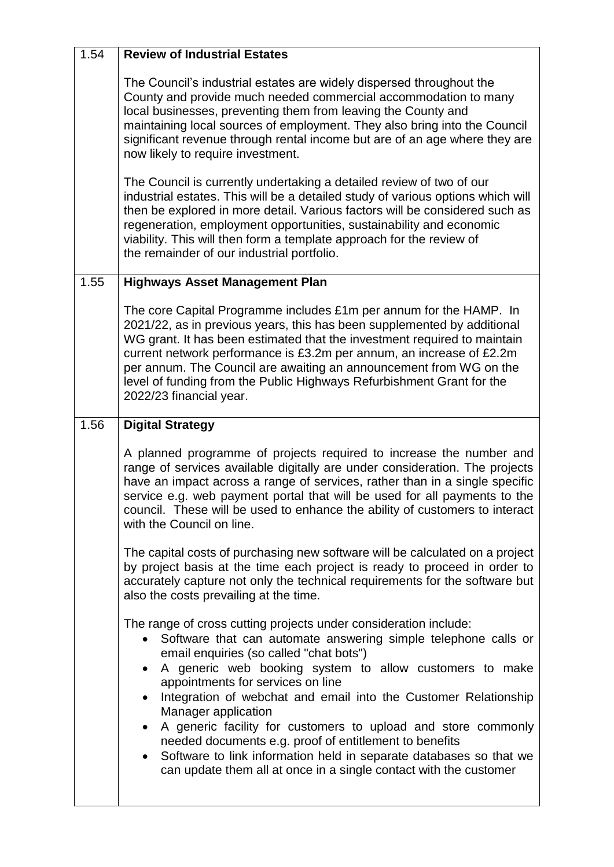| 1.54 | <b>Review of Industrial Estates</b>                                                                                                                                                                                                                                                                                                                                                                                                                                                                                                                                                                                                                                                  |
|------|--------------------------------------------------------------------------------------------------------------------------------------------------------------------------------------------------------------------------------------------------------------------------------------------------------------------------------------------------------------------------------------------------------------------------------------------------------------------------------------------------------------------------------------------------------------------------------------------------------------------------------------------------------------------------------------|
|      | The Council's industrial estates are widely dispersed throughout the<br>County and provide much needed commercial accommodation to many<br>local businesses, preventing them from leaving the County and<br>maintaining local sources of employment. They also bring into the Council<br>significant revenue through rental income but are of an age where they are<br>now likely to require investment.                                                                                                                                                                                                                                                                             |
|      | The Council is currently undertaking a detailed review of two of our<br>industrial estates. This will be a detailed study of various options which will<br>then be explored in more detail. Various factors will be considered such as<br>regeneration, employment opportunities, sustainability and economic<br>viability. This will then form a template approach for the review of<br>the remainder of our industrial portfolio.                                                                                                                                                                                                                                                  |
| 1.55 | <b>Highways Asset Management Plan</b>                                                                                                                                                                                                                                                                                                                                                                                                                                                                                                                                                                                                                                                |
|      | The core Capital Programme includes £1m per annum for the HAMP. In<br>2021/22, as in previous years, this has been supplemented by additional<br>WG grant. It has been estimated that the investment required to maintain<br>current network performance is £3.2m per annum, an increase of £2.2m<br>per annum. The Council are awaiting an announcement from WG on the<br>level of funding from the Public Highways Refurbishment Grant for the<br>2022/23 financial year.                                                                                                                                                                                                          |
| 1.56 | <b>Digital Strategy</b>                                                                                                                                                                                                                                                                                                                                                                                                                                                                                                                                                                                                                                                              |
|      | A planned programme of projects required to increase the number and<br>range of services available digitally are under consideration. The projects<br>have an impact across a range of services, rather than in a single specific<br>service e.g. web payment portal that will be used for all payments to the<br>council. These will be used to enhance the ability of customers to interact<br>with the Council on line.                                                                                                                                                                                                                                                           |
|      | The capital costs of purchasing new software will be calculated on a project<br>by project basis at the time each project is ready to proceed in order to<br>accurately capture not only the technical requirements for the software but<br>also the costs prevailing at the time.                                                                                                                                                                                                                                                                                                                                                                                                   |
|      | The range of cross cutting projects under consideration include:<br>Software that can automate answering simple telephone calls or<br>$\bullet$<br>email enquiries (so called "chat bots")<br>A generic web booking system to allow customers to make<br>appointments for services on line<br>Integration of webchat and email into the Customer Relationship<br>Manager application<br>A generic facility for customers to upload and store commonly<br>$\bullet$<br>needed documents e.g. proof of entitlement to benefits<br>Software to link information held in separate databases so that we<br>$\bullet$<br>can update them all at once in a single contact with the customer |
|      |                                                                                                                                                                                                                                                                                                                                                                                                                                                                                                                                                                                                                                                                                      |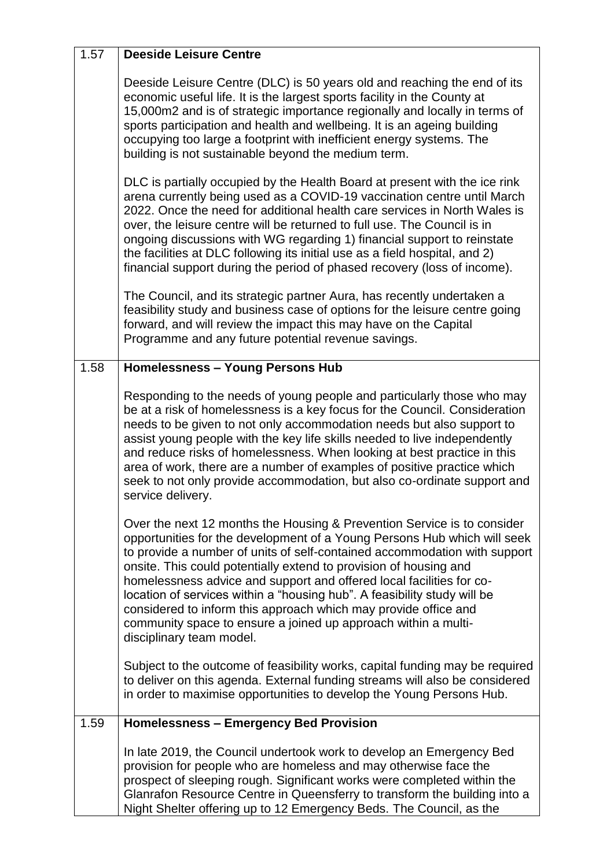| 1.57 | <b>Deeside Leisure Centre</b>                                                                                                                                                                                                                                                                                                                                                                                                                                                                                                                                                                                              |
|------|----------------------------------------------------------------------------------------------------------------------------------------------------------------------------------------------------------------------------------------------------------------------------------------------------------------------------------------------------------------------------------------------------------------------------------------------------------------------------------------------------------------------------------------------------------------------------------------------------------------------------|
|      | Deeside Leisure Centre (DLC) is 50 years old and reaching the end of its<br>economic useful life. It is the largest sports facility in the County at<br>15,000m2 and is of strategic importance regionally and locally in terms of<br>sports participation and health and wellbeing. It is an ageing building<br>occupying too large a footprint with inefficient energy systems. The<br>building is not sustainable beyond the medium term.                                                                                                                                                                               |
|      | DLC is partially occupied by the Health Board at present with the ice rink<br>arena currently being used as a COVID-19 vaccination centre until March<br>2022. Once the need for additional health care services in North Wales is<br>over, the leisure centre will be returned to full use. The Council is in<br>ongoing discussions with WG regarding 1) financial support to reinstate<br>the facilities at DLC following its initial use as a field hospital, and 2)<br>financial support during the period of phased recovery (loss of income).                                                                       |
|      | The Council, and its strategic partner Aura, has recently undertaken a<br>feasibility study and business case of options for the leisure centre going<br>forward, and will review the impact this may have on the Capital<br>Programme and any future potential revenue savings.                                                                                                                                                                                                                                                                                                                                           |
| 1.58 | <b>Homelessness - Young Persons Hub</b>                                                                                                                                                                                                                                                                                                                                                                                                                                                                                                                                                                                    |
|      | Responding to the needs of young people and particularly those who may<br>be at a risk of homelessness is a key focus for the Council. Consideration<br>needs to be given to not only accommodation needs but also support to<br>assist young people with the key life skills needed to live independently<br>and reduce risks of homelessness. When looking at best practice in this<br>area of work, there are a number of examples of positive practice which<br>seek to not only provide accommodation, but also co-ordinate support and<br>service delivery.                                                          |
|      | Over the next 12 months the Housing & Prevention Service is to consider<br>opportunities for the development of a Young Persons Hub which will seek<br>to provide a number of units of self-contained accommodation with support<br>onsite. This could potentially extend to provision of housing and<br>homelessness advice and support and offered local facilities for co-<br>location of services within a "housing hub". A feasibility study will be<br>considered to inform this approach which may provide office and<br>community space to ensure a joined up approach within a multi-<br>disciplinary team model. |
|      | Subject to the outcome of feasibility works, capital funding may be required<br>to deliver on this agenda. External funding streams will also be considered<br>in order to maximise opportunities to develop the Young Persons Hub.                                                                                                                                                                                                                                                                                                                                                                                        |
| 1.59 | <b>Homelessness - Emergency Bed Provision</b>                                                                                                                                                                                                                                                                                                                                                                                                                                                                                                                                                                              |
|      | In late 2019, the Council undertook work to develop an Emergency Bed<br>provision for people who are homeless and may otherwise face the<br>prospect of sleeping rough. Significant works were completed within the<br>Glanrafon Resource Centre in Queensferry to transform the building into a<br>Night Shelter offering up to 12 Emergency Beds. The Council, as the                                                                                                                                                                                                                                                    |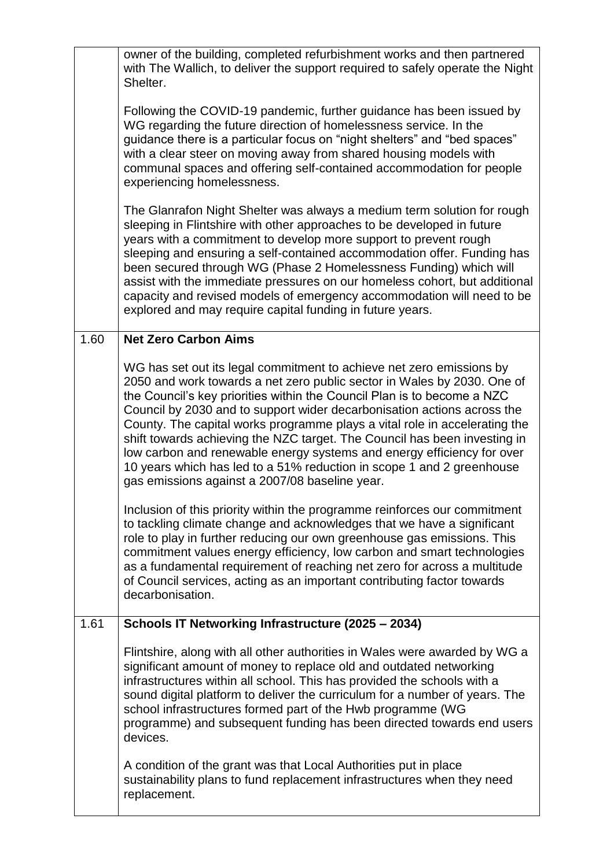|      | owner of the building, completed refurbishment works and then partnered<br>with The Wallich, to deliver the support required to safely operate the Night<br>Shelter.                                                                                                                                                                                                                                                                                                                                                                                                                                                                                                  |
|------|-----------------------------------------------------------------------------------------------------------------------------------------------------------------------------------------------------------------------------------------------------------------------------------------------------------------------------------------------------------------------------------------------------------------------------------------------------------------------------------------------------------------------------------------------------------------------------------------------------------------------------------------------------------------------|
|      | Following the COVID-19 pandemic, further guidance has been issued by<br>WG regarding the future direction of homelessness service. In the<br>guidance there is a particular focus on "night shelters" and "bed spaces"<br>with a clear steer on moving away from shared housing models with<br>communal spaces and offering self-contained accommodation for people<br>experiencing homelessness.                                                                                                                                                                                                                                                                     |
|      | The Glanrafon Night Shelter was always a medium term solution for rough<br>sleeping in Flintshire with other approaches to be developed in future<br>years with a commitment to develop more support to prevent rough<br>sleeping and ensuring a self-contained accommodation offer. Funding has<br>been secured through WG (Phase 2 Homelessness Funding) which will<br>assist with the immediate pressures on our homeless cohort, but additional<br>capacity and revised models of emergency accommodation will need to be<br>explored and may require capital funding in future years.                                                                            |
| 1.60 | <b>Net Zero Carbon Aims</b>                                                                                                                                                                                                                                                                                                                                                                                                                                                                                                                                                                                                                                           |
|      | WG has set out its legal commitment to achieve net zero emissions by<br>2050 and work towards a net zero public sector in Wales by 2030. One of<br>the Council's key priorities within the Council Plan is to become a NZC<br>Council by 2030 and to support wider decarbonisation actions across the<br>County. The capital works programme plays a vital role in accelerating the<br>shift towards achieving the NZC target. The Council has been investing in<br>low carbon and renewable energy systems and energy efficiency for over<br>10 years which has led to a 51% reduction in scope 1 and 2 greenhouse<br>gas emissions against a 2007/08 baseline year. |
|      | Inclusion of this priority within the programme reinforces our commitment<br>to tackling climate change and acknowledges that we have a significant<br>role to play in further reducing our own greenhouse gas emissions. This<br>commitment values energy efficiency, low carbon and smart technologies<br>as a fundamental requirement of reaching net zero for across a multitude<br>of Council services, acting as an important contributing factor towards<br>decarbonisation.                                                                                                                                                                                   |
| 1.61 | Schools IT Networking Infrastructure (2025 - 2034)                                                                                                                                                                                                                                                                                                                                                                                                                                                                                                                                                                                                                    |
|      | Flintshire, along with all other authorities in Wales were awarded by WG a<br>significant amount of money to replace old and outdated networking<br>infrastructures within all school. This has provided the schools with a<br>sound digital platform to deliver the curriculum for a number of years. The<br>school infrastructures formed part of the Hwb programme (WG<br>programme) and subsequent funding has been directed towards end users<br>devices.                                                                                                                                                                                                        |
|      | A condition of the grant was that Local Authorities put in place<br>sustainability plans to fund replacement infrastructures when they need<br>replacement.                                                                                                                                                                                                                                                                                                                                                                                                                                                                                                           |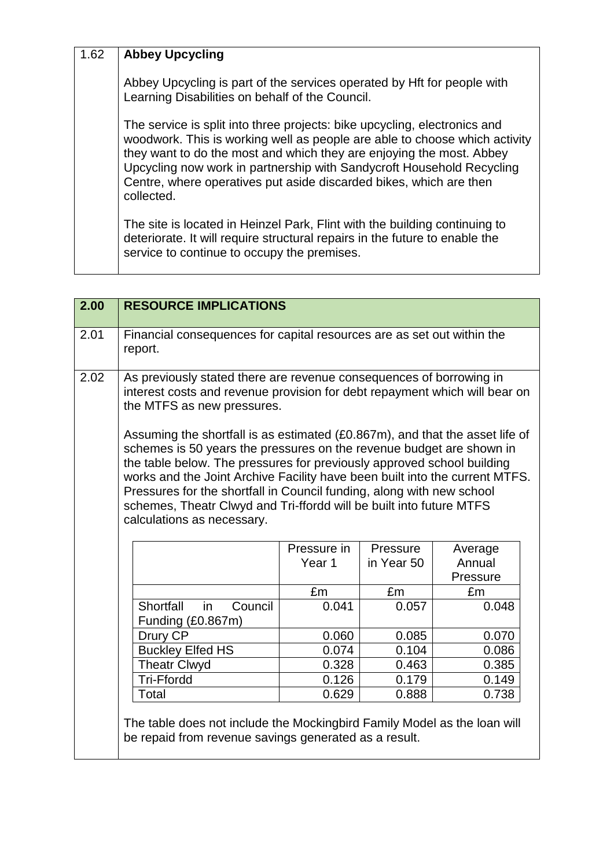## 1.62 **Abbey Upcycling**

Abbey Upcycling is part of the services operated by Hft for people with Learning Disabilities on behalf of the Council.

The service is split into three projects: bike upcycling, electronics and woodwork. This is working well as people are able to choose which activity they want to do the most and which they are enjoying the most. Abbey Upcycling now work in partnership with Sandycroft Household Recycling Centre, where operatives put aside discarded bikes, which are then collected.

The site is located in Heinzel Park, Flint with the building continuing to deteriorate. It will require structural repairs in the future to enable the service to continue to occupy the premises.

| 2.00 | <b>RESOURCE IMPLICATIONS</b>                                                                                                                                                                                                                                                                                                                                                                                                                                                                |                   |            |                    |
|------|---------------------------------------------------------------------------------------------------------------------------------------------------------------------------------------------------------------------------------------------------------------------------------------------------------------------------------------------------------------------------------------------------------------------------------------------------------------------------------------------|-------------------|------------|--------------------|
| 2.01 | Financial consequences for capital resources are as set out within the<br>report.                                                                                                                                                                                                                                                                                                                                                                                                           |                   |            |                    |
| 2.02 | As previously stated there are revenue consequences of borrowing in<br>interest costs and revenue provision for debt repayment which will bear on<br>the MTFS as new pressures.                                                                                                                                                                                                                                                                                                             |                   |            |                    |
|      | Assuming the shortfall is as estimated (£0.867m), and that the asset life of<br>schemes is 50 years the pressures on the revenue budget are shown in<br>the table below. The pressures for previously approved school building<br>works and the Joint Archive Facility have been built into the current MTFS.<br>Pressures for the shortfall in Council funding, along with new school<br>schemes, Theatr Clwyd and Tri-ffordd will be built into future MTFS<br>calculations as necessary. |                   |            |                    |
|      |                                                                                                                                                                                                                                                                                                                                                                                                                                                                                             | Pressure in       | Pressure   | Average            |
|      |                                                                                                                                                                                                                                                                                                                                                                                                                                                                                             | Year <sub>1</sub> | in Year 50 | Annual<br>Pressure |
|      |                                                                                                                                                                                                                                                                                                                                                                                                                                                                                             | £m                | £m         | £m                 |
|      | Shortfall<br>in<br>Council<br>Funding (£0.867m)                                                                                                                                                                                                                                                                                                                                                                                                                                             | 0.041             | 0.057      | 0.048              |
|      | Drury CP                                                                                                                                                                                                                                                                                                                                                                                                                                                                                    | 0.060             | 0.085      | 0.070              |
|      | <b>Buckley Elfed HS</b>                                                                                                                                                                                                                                                                                                                                                                                                                                                                     | 0.074             | 0.104      | 0.086              |
|      | <b>Theatr Clwyd</b>                                                                                                                                                                                                                                                                                                                                                                                                                                                                         | 0.328             | 0.463      | 0.385              |
|      | Tri-Ffordd                                                                                                                                                                                                                                                                                                                                                                                                                                                                                  | 0.126             | 0.179      | 0.149              |
|      | Total                                                                                                                                                                                                                                                                                                                                                                                                                                                                                       | 0.629             | 0.888      | 0.738              |
|      | The table does not include the Mockingbird Family Model as the loan will<br>be repaid from revenue savings generated as a result.                                                                                                                                                                                                                                                                                                                                                           |                   |            |                    |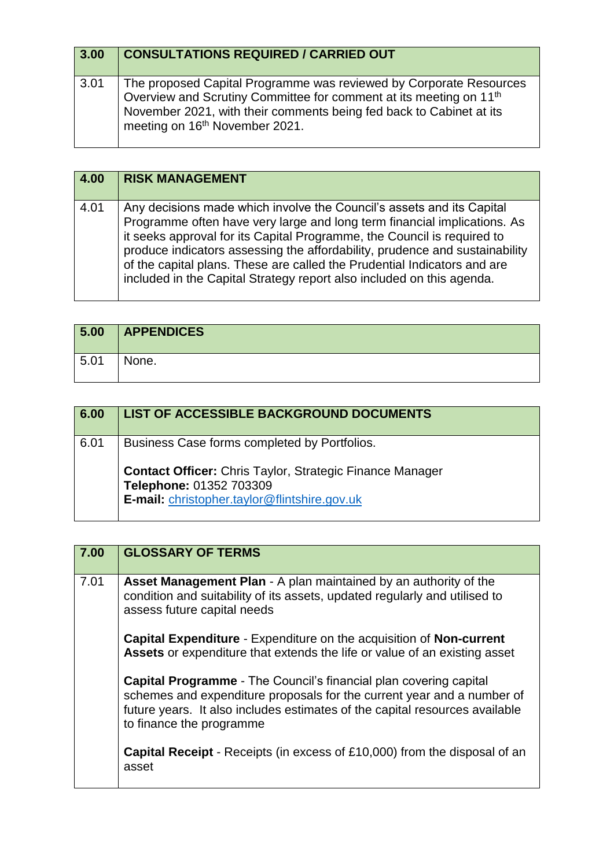| 3.00 | <b>CONSULTATIONS REQUIRED / CARRIED OUT</b>                                                                                                                                                                                                                               |
|------|---------------------------------------------------------------------------------------------------------------------------------------------------------------------------------------------------------------------------------------------------------------------------|
| 3.01 | The proposed Capital Programme was reviewed by Corporate Resources<br>Overview and Scrutiny Committee for comment at its meeting on 11 <sup>th</sup><br>November 2021, with their comments being fed back to Cabinet at its<br>meeting on 16 <sup>th</sup> November 2021. |

| 4.00 | <b>RISK MANAGEMENT</b>                                                                                                                                                                                                                                                                                                                                                                                                                                           |
|------|------------------------------------------------------------------------------------------------------------------------------------------------------------------------------------------------------------------------------------------------------------------------------------------------------------------------------------------------------------------------------------------------------------------------------------------------------------------|
| 4.01 | Any decisions made which involve the Council's assets and its Capital<br>Programme often have very large and long term financial implications. As<br>it seeks approval for its Capital Programme, the Council is required to<br>produce indicators assessing the affordability, prudence and sustainability<br>of the capital plans. These are called the Prudential Indicators and are<br>included in the Capital Strategy report also included on this agenda. |

| 5.00 | <b>APPENDICES</b> |
|------|-------------------|
| 5.01 | None.             |

| 6.00 | <b>LIST OF ACCESSIBLE BACKGROUND DOCUMENTS</b>                                             |
|------|--------------------------------------------------------------------------------------------|
| 6.01 | Business Case forms completed by Portfolios.                                               |
|      | <b>Contact Officer:</b> Chris Taylor, Strategic Finance Manager<br>Telephone: 01352 703309 |
|      | E-mail: christopher.taylor@flintshire.gov.uk                                               |

| 7.00 | <b>GLOSSARY OF TERMS</b>                                                                                                                                                                                                                                      |
|------|---------------------------------------------------------------------------------------------------------------------------------------------------------------------------------------------------------------------------------------------------------------|
| 7.01 | Asset Management Plan - A plan maintained by an authority of the<br>condition and suitability of its assets, updated regularly and utilised to<br>assess future capital needs                                                                                 |
|      | Capital Expenditure - Expenditure on the acquisition of Non-current<br>Assets or expenditure that extends the life or value of an existing asset                                                                                                              |
|      | <b>Capital Programme</b> - The Council's financial plan covering capital<br>schemes and expenditure proposals for the current year and a number of<br>future years. It also includes estimates of the capital resources available<br>to finance the programme |
|      | <b>Capital Receipt</b> - Receipts (in excess of £10,000) from the disposal of an<br>asset                                                                                                                                                                     |